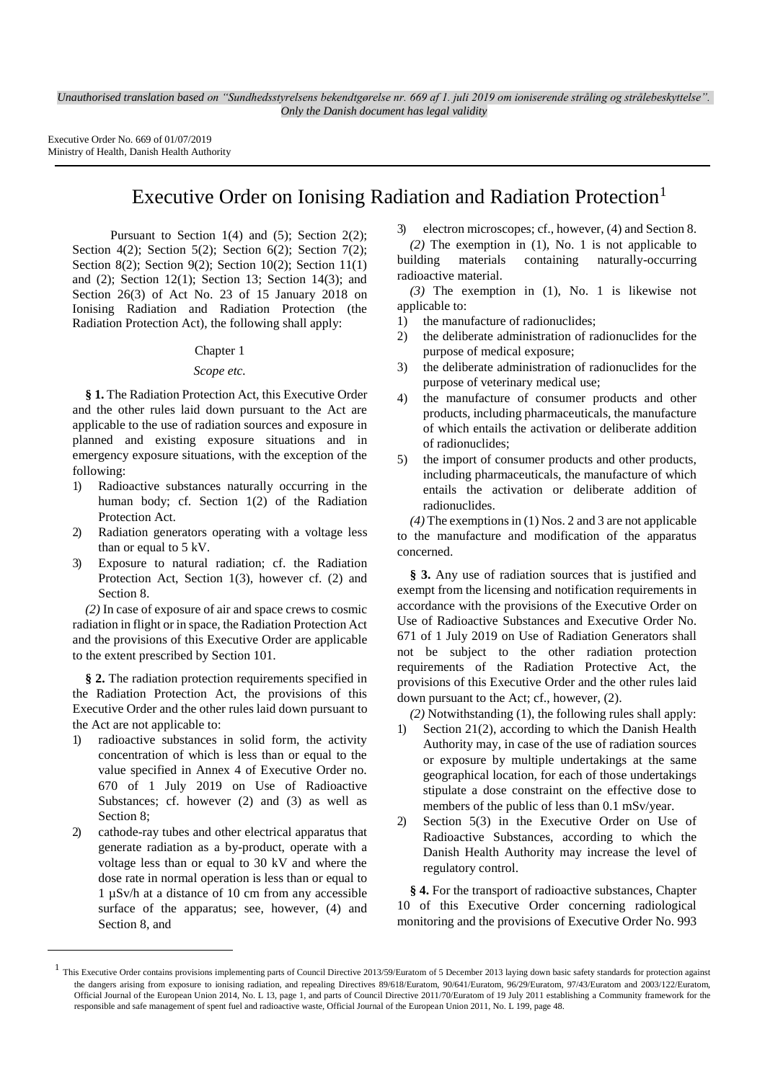Executive Order No. 669 of 01/07/2019 Ministry of Health, Danish Health Authority

# Executive Order on Ionising Radiation and Radiation Protection<sup>1</sup>

Pursuant to Section  $1(4)$  and  $(5)$ ; Section  $2(2)$ ; Section 4(2); Section 5(2); Section 6(2); Section 7(2); Section 8(2); Section 9(2); Section 10(2); Section 11(1) and (2); Section 12(1); Section 13; Section 14(3); and Section 26(3) of Act No. 23 of 15 January 2018 on Ionising Radiation and Radiation Protection (the Radiation Protection Act), the following shall apply:

#### Chapter 1

### *Scope etc.*

**§ 1.** The Radiation Protection Act, this Executive Order and the other rules laid down pursuant to the Act are applicable to the use of radiation sources and exposure in planned and existing exposure situations and in emergency exposure situations, with the exception of the following:

- 1) Radioactive substances naturally occurring in the human body; cf. Section 1(2) of the Radiation Protection Act.
- 2) Radiation generators operating with a voltage less than or equal to 5 kV.
- 3) Exposure to natural radiation; cf. the Radiation Protection Act, Section 1(3), however cf. (2) and Section 8.

*(2)* In case of exposure of air and space crews to cosmic radiation in flight or in space, the Radiation Protection Act and the provisions of this Executive Order are applicable to the extent prescribed by Section 101.

**§ 2.** The radiation protection requirements specified in the Radiation Protection Act, the provisions of this Executive Order and the other rules laid down pursuant to the Act are not applicable to:

- 1) radioactive substances in solid form, the activity concentration of which is less than or equal to the value specified in Annex 4 of Executive Order no. 670 of 1 July 2019 on Use of Radioactive Substances; cf. however (2) and (3) as well as Section 8;
- 2) cathode-ray tubes and other electrical apparatus that generate radiation as a by-product, operate with a voltage less than or equal to 30 kV and where the dose rate in normal operation is less than or equal to 1 µSv/h at a distance of 10 cm from any accessible surface of the apparatus; see, however, (4) and Section 8, and

l

3) electron microscopes; cf., however, (4) and Section 8. *(2)* The exemption in (1), No. 1 is not applicable to building materials containing naturally-occurring radioactive material.

*(3)* The exemption in (1), No. 1 is likewise not applicable to:

- 1) the manufacture of radionuclides;
- 2) the deliberate administration of radionuclides for the purpose of medical exposure;
- 3) the deliberate administration of radionuclides for the purpose of veterinary medical use;
- 4) the manufacture of consumer products and other products, including pharmaceuticals, the manufacture of which entails the activation or deliberate addition of radionuclides;
- 5) the import of consumer products and other products, including pharmaceuticals, the manufacture of which entails the activation or deliberate addition of radionuclides.

*(4)* The exemptions in (1) Nos. 2 and 3 are not applicable to the manufacture and modification of the apparatus concerned.

**§ 3.** Any use of radiation sources that is justified and exempt from the licensing and notification requirements in accordance with the provisions of the Executive Order on Use of Radioactive Substances and Executive Order No. 671 of 1 July 2019 on Use of Radiation Generators shall not be subject to the other radiation protection requirements of the Radiation Protective Act, the provisions of this Executive Order and the other rules laid down pursuant to the Act; cf., however, (2).

*(2)* Notwithstanding (1), the following rules shall apply:

- 1) Section 21(2), according to which the Danish Health Authority may, in case of the use of radiation sources or exposure by multiple undertakings at the same geographical location, for each of those undertakings stipulate a dose constraint on the effective dose to members of the public of less than 0.1 mSv/year.
- 2) Section 5(3) in the Executive Order on Use of Radioactive Substances, according to which the Danish Health Authority may increase the level of regulatory control.

**§ 4.** For the transport of radioactive substances, Chapter 10 of this Executive Order concerning radiological monitoring and the provisions of Executive Order No. 993

<sup>&</sup>lt;sup>1</sup> This Executive Order contains provisions implementing parts of Council Directive 2013/59/Euratom of 5 December 2013 laying down basic safety standards for protection against the dangers arising from exposure to ionising radiation, and repealing Directives 89/618/Euratom, 90/641/Euratom, 96/29/Euratom, 97/43/Euratom and 2003/122/Euratom, Official Journal of the European Union 2014, No. L 13, page 1, and parts of Council Directive 2011/70/Euratom of 19 July 2011 establishing a Community framework for the responsible and safe management of spent fuel and radioactive waste, Official Journal of the European Union 2011, No. L 199, page 48.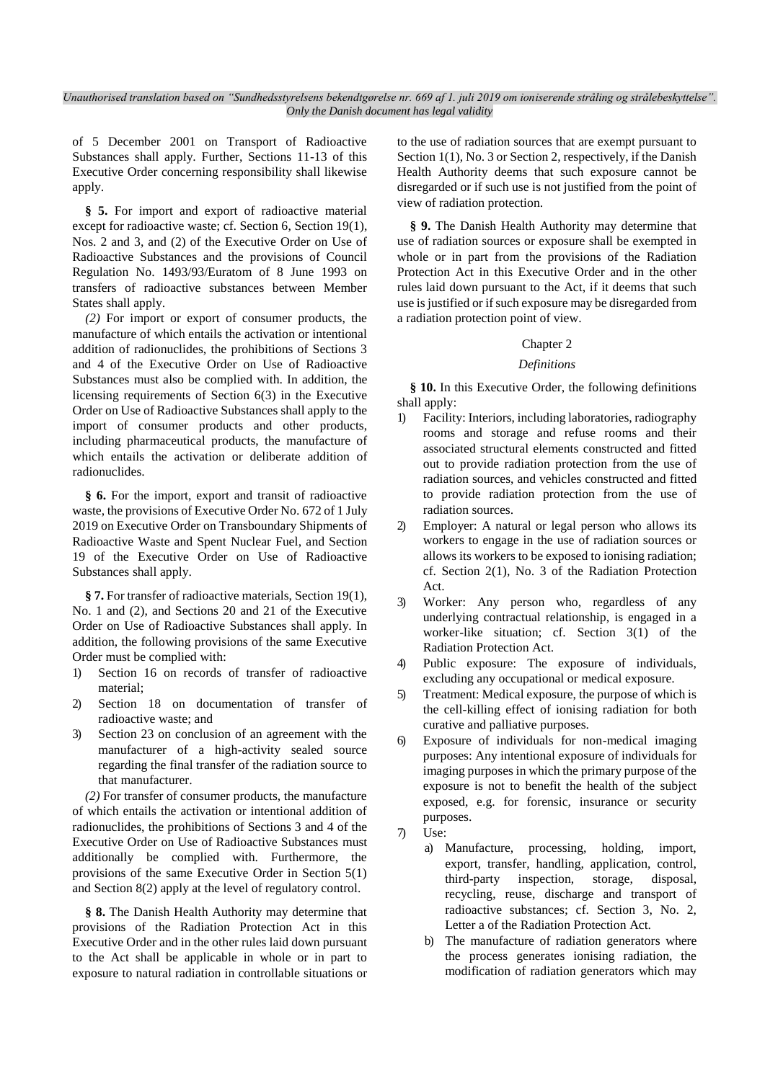of 5 December 2001 on Transport of Radioactive Substances shall apply. Further, Sections 11-13 of this Executive Order concerning responsibility shall likewise apply.

**§ 5.** For import and export of radioactive material except for radioactive waste; cf. Section 6, Section 19(1), Nos. 2 and 3, and (2) of the Executive Order on Use of Radioactive Substances and the provisions of Council Regulation No. 1493/93/Euratom of 8 June 1993 on transfers of radioactive substances between Member States shall apply.

*(2)* For import or export of consumer products, the manufacture of which entails the activation or intentional addition of radionuclides, the prohibitions of Sections 3 and 4 of the Executive Order on Use of Radioactive Substances must also be complied with. In addition, the licensing requirements of Section 6(3) in the Executive Order on Use of Radioactive Substances shall apply to the import of consumer products and other products, including pharmaceutical products, the manufacture of which entails the activation or deliberate addition of radionuclides.

**§ 6.** For the import, export and transit of radioactive waste, the provisions of Executive Order No. 672 of 1 July 2019 on Executive Order on Transboundary Shipments of Radioactive Waste and Spent Nuclear Fuel, and Section 19 of the Executive Order on Use of Radioactive Substances shall apply.

**§ 7.** For transfer of radioactive materials, Section 19(1), No. 1 and (2), and Sections 20 and 21 of the Executive Order on Use of Radioactive Substances shall apply. In addition, the following provisions of the same Executive Order must be complied with:

- 1) Section 16 on records of transfer of radioactive material;
- 2) Section 18 on documentation of transfer of radioactive waste; and
- 3) Section 23 on conclusion of an agreement with the manufacturer of a high-activity sealed source regarding the final transfer of the radiation source to that manufacturer.

*(2)* For transfer of consumer products, the manufacture of which entails the activation or intentional addition of radionuclides, the prohibitions of Sections 3 and 4 of the Executive Order on Use of Radioactive Substances must additionally be complied with. Furthermore, the provisions of the same Executive Order in Section 5(1) and Section 8(2) apply at the level of regulatory control.

**§ 8.** The Danish Health Authority may determine that provisions of the Radiation Protection Act in this Executive Order and in the other rules laid down pursuant to the Act shall be applicable in whole or in part to exposure to natural radiation in controllable situations or to the use of radiation sources that are exempt pursuant to Section 1(1), No. 3 or Section 2, respectively, if the Danish Health Authority deems that such exposure cannot be disregarded or if such use is not justified from the point of view of radiation protection.

**§ 9.** The Danish Health Authority may determine that use of radiation sources or exposure shall be exempted in whole or in part from the provisions of the Radiation Protection Act in this Executive Order and in the other rules laid down pursuant to the Act, if it deems that such use is justified or if such exposure may be disregarded from a radiation protection point of view.

### Chapter 2

### *Definitions*

**§ 10.** In this Executive Order, the following definitions shall apply:

- 1) Facility: Interiors, including laboratories, radiography rooms and storage and refuse rooms and their associated structural elements constructed and fitted out to provide radiation protection from the use of radiation sources, and vehicles constructed and fitted to provide radiation protection from the use of radiation sources.
- 2) Employer: A natural or legal person who allows its workers to engage in the use of radiation sources or allows its workers to be exposed to ionising radiation; cf. Section 2(1), No. 3 of the Radiation Protection Act.
- 3) Worker: Any person who, regardless of any underlying contractual relationship, is engaged in a worker-like situation; cf. Section 3(1) of the Radiation Protection Act.
- 4) Public exposure: The exposure of individuals, excluding any occupational or medical exposure.
- 5) Treatment: Medical exposure, the purpose of which is the cell-killing effect of ionising radiation for both curative and palliative purposes.
- 6) Exposure of individuals for non-medical imaging purposes: Any intentional exposure of individuals for imaging purposes in which the primary purpose of the exposure is not to benefit the health of the subject exposed, e.g. for forensic, insurance or security purposes.
- 7) Use:
	- a) Manufacture, processing, holding, import, export, transfer, handling, application, control, third-party inspection, storage, disposal, recycling, reuse, discharge and transport of radioactive substances; cf. Section 3, No. 2, Letter a of the Radiation Protection Act.
	- b) The manufacture of radiation generators where the process generates ionising radiation, the modification of radiation generators which may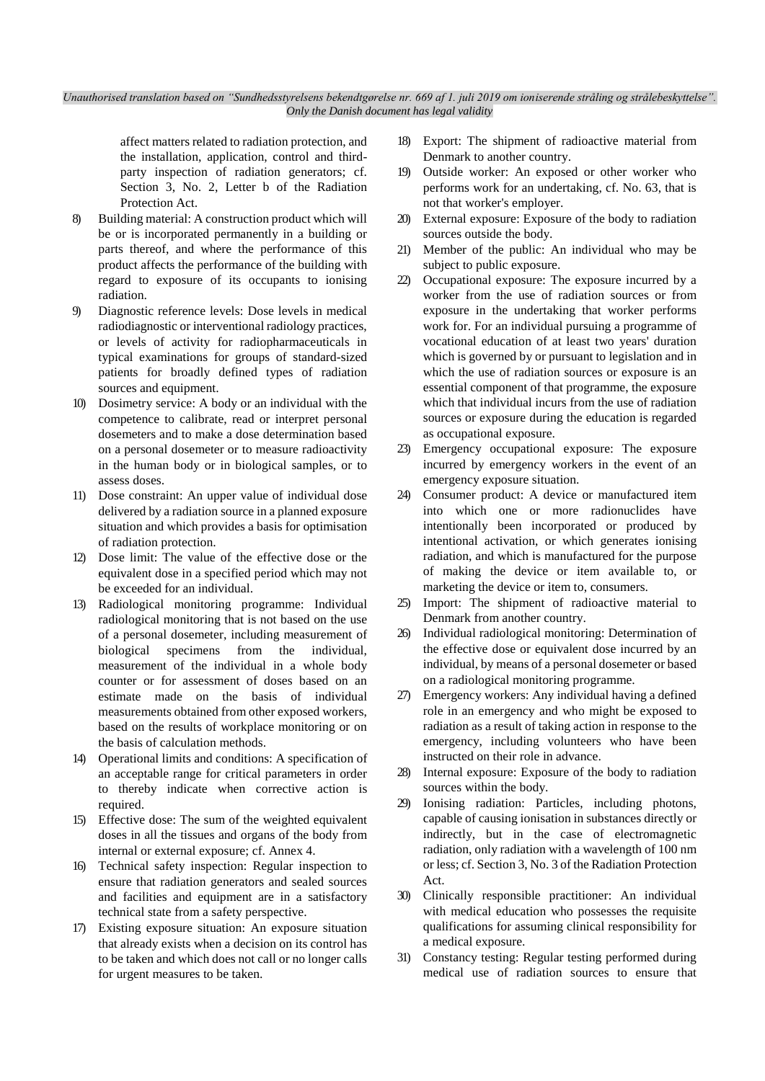affect matters related to radiation protection, and the installation, application, control and thirdparty inspection of radiation generators; cf. Section 3, No. 2, Letter b of the Radiation Protection Act.

- 8) Building material: A construction product which will be or is incorporated permanently in a building or parts thereof, and where the performance of this product affects the performance of the building with regard to exposure of its occupants to ionising radiation.
- 9) Diagnostic reference levels: Dose levels in medical radiodiagnostic or interventional radiology practices, or levels of activity for radiopharmaceuticals in typical examinations for groups of standard-sized patients for broadly defined types of radiation sources and equipment.
- 10) Dosimetry service: A body or an individual with the competence to calibrate, read or interpret personal dosemeters and to make a dose determination based on a personal dosemeter or to measure radioactivity in the human body or in biological samples, or to assess doses.
- 11) Dose constraint: An upper value of individual dose delivered by a radiation source in a planned exposure situation and which provides a basis for optimisation of radiation protection.
- 12) Dose limit: The value of the effective dose or the equivalent dose in a specified period which may not be exceeded for an individual.
- 13) Radiological monitoring programme: Individual radiological monitoring that is not based on the use of a personal dosemeter, including measurement of biological specimens from the individual, measurement of the individual in a whole body counter or for assessment of doses based on an estimate made on the basis of individual measurements obtained from other exposed workers, based on the results of workplace monitoring or on the basis of calculation methods.
- 14) Operational limits and conditions: A specification of an acceptable range for critical parameters in order to thereby indicate when corrective action is required.
- 15) Effective dose: The sum of the weighted equivalent doses in all the tissues and organs of the body from internal or external exposure; cf. Annex 4.
- 16) Technical safety inspection: Regular inspection to ensure that radiation generators and sealed sources and facilities and equipment are in a satisfactory technical state from a safety perspective.
- 17) Existing exposure situation: An exposure situation that already exists when a decision on its control has to be taken and which does not call or no longer calls for urgent measures to be taken.
- 18) Export: The shipment of radioactive material from Denmark to another country.
- 19) Outside worker: An exposed or other worker who performs work for an undertaking, cf. No. 63, that is not that worker's employer.
- 20) External exposure: Exposure of the body to radiation sources outside the body.
- 21) Member of the public: An individual who may be subject to public exposure.
- 22) Occupational exposure: The exposure incurred by a worker from the use of radiation sources or from exposure in the undertaking that worker performs work for. For an individual pursuing a programme of vocational education of at least two years' duration which is governed by or pursuant to legislation and in which the use of radiation sources or exposure is an essential component of that programme, the exposure which that individual incurs from the use of radiation sources or exposure during the education is regarded as occupational exposure.
- 23) Emergency occupational exposure: The exposure incurred by emergency workers in the event of an emergency exposure situation.
- 24) Consumer product: A device or manufactured item into which one or more radionuclides have intentionally been incorporated or produced by intentional activation, or which generates ionising radiation, and which is manufactured for the purpose of making the device or item available to, or marketing the device or item to, consumers.
- 25) Import: The shipment of radioactive material to Denmark from another country.
- 26) Individual radiological monitoring: Determination of the effective dose or equivalent dose incurred by an individual, by means of a personal dosemeter or based on a radiological monitoring programme.
- 27) Emergency workers: Any individual having a defined role in an emergency and who might be exposed to radiation as a result of taking action in response to the emergency, including volunteers who have been instructed on their role in advance.
- 28) Internal exposure: Exposure of the body to radiation sources within the body.
- 29) Ionising radiation: Particles, including photons, capable of causing ionisation in substances directly or indirectly, but in the case of electromagnetic radiation, only radiation with a wavelength of 100 nm or less; cf. Section 3, No. 3 of the Radiation Protection Act.
- 30) Clinically responsible practitioner: An individual with medical education who possesses the requisite qualifications for assuming clinical responsibility for a medical exposure.
- 31) Constancy testing: Regular testing performed during medical use of radiation sources to ensure that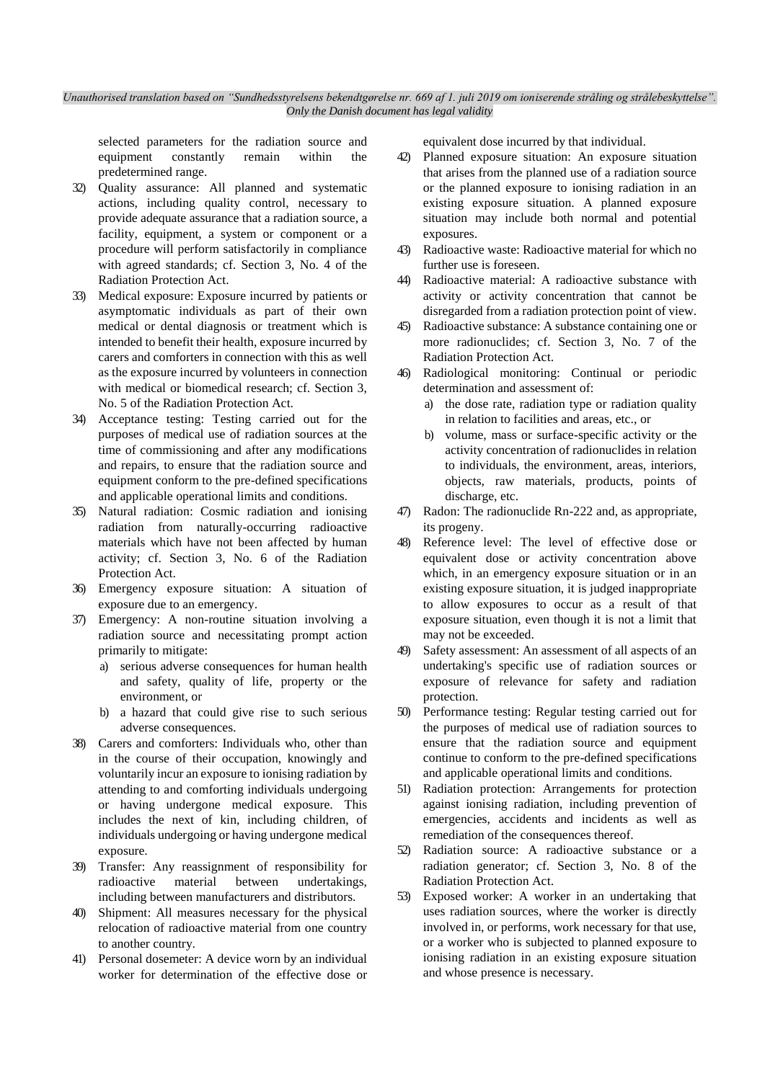selected parameters for the radiation source and equipment constantly remain within the predetermined range.

- 32) Quality assurance: All planned and systematic actions, including quality control, necessary to provide adequate assurance that a radiation source, a facility, equipment, a system or component or a procedure will perform satisfactorily in compliance with agreed standards; cf. Section 3, No. 4 of the Radiation Protection Act.
- 33) Medical exposure: Exposure incurred by patients or asymptomatic individuals as part of their own medical or dental diagnosis or treatment which is intended to benefit their health, exposure incurred by carers and comforters in connection with this as well as the exposure incurred by volunteers in connection with medical or biomedical research; cf. Section 3, No. 5 of the Radiation Protection Act.
- 34) Acceptance testing: Testing carried out for the purposes of medical use of radiation sources at the time of commissioning and after any modifications and repairs, to ensure that the radiation source and equipment conform to the pre-defined specifications and applicable operational limits and conditions.
- 35) Natural radiation: Cosmic radiation and ionising radiation from naturally-occurring radioactive materials which have not been affected by human activity; cf. Section 3, No. 6 of the Radiation Protection Act.
- 36) Emergency exposure situation: A situation of exposure due to an emergency.
- 37) Emergency: A non-routine situation involving a radiation source and necessitating prompt action primarily to mitigate:
	- a) serious adverse consequences for human health and safety, quality of life, property or the environment, or
	- b) a hazard that could give rise to such serious adverse consequences.
- 38) Carers and comforters: Individuals who, other than in the course of their occupation, knowingly and voluntarily incur an exposure to ionising radiation by attending to and comforting individuals undergoing or having undergone medical exposure. This includes the next of kin, including children, of individuals undergoing or having undergone medical exposure.
- 39) Transfer: Any reassignment of responsibility for radioactive material between undertakings, including between manufacturers and distributors.
- 40) Shipment: All measures necessary for the physical relocation of radioactive material from one country to another country.
- 41) Personal dosemeter: A device worn by an individual worker for determination of the effective dose or

equivalent dose incurred by that individual.

- 42) Planned exposure situation: An exposure situation that arises from the planned use of a radiation source or the planned exposure to ionising radiation in an existing exposure situation. A planned exposure situation may include both normal and potential exposures.
- 43) Radioactive waste: Radioactive material for which no further use is foreseen.
- 44) Radioactive material: A radioactive substance with activity or activity concentration that cannot be disregarded from a radiation protection point of view.
- 45) Radioactive substance: A substance containing one or more radionuclides; cf. Section 3, No. 7 of the Radiation Protection Act.
- 46) Radiological monitoring: Continual or periodic determination and assessment of:
	- a) the dose rate, radiation type or radiation quality in relation to facilities and areas, etc., or
	- b) volume, mass or surface-specific activity or the activity concentration of radionuclides in relation to individuals, the environment, areas, interiors, objects, raw materials, products, points of discharge, etc.
- 47) Radon: The radionuclide Rn-222 and, as appropriate, its progeny.
- 48) Reference level: The level of effective dose or equivalent dose or activity concentration above which, in an emergency exposure situation or in an existing exposure situation, it is judged inappropriate to allow exposures to occur as a result of that exposure situation, even though it is not a limit that may not be exceeded.
- 49) Safety assessment: An assessment of all aspects of an undertaking's specific use of radiation sources or exposure of relevance for safety and radiation protection.
- 50) Performance testing: Regular testing carried out for the purposes of medical use of radiation sources to ensure that the radiation source and equipment continue to conform to the pre-defined specifications and applicable operational limits and conditions.
- 51) Radiation protection: Arrangements for protection against ionising radiation, including prevention of emergencies, accidents and incidents as well as remediation of the consequences thereof.
- 52) Radiation source: A radioactive substance or a radiation generator; cf. Section 3, No. 8 of the Radiation Protection Act.
- 53) Exposed worker: A worker in an undertaking that uses radiation sources, where the worker is directly involved in, or performs, work necessary for that use, or a worker who is subjected to planned exposure to ionising radiation in an existing exposure situation and whose presence is necessary.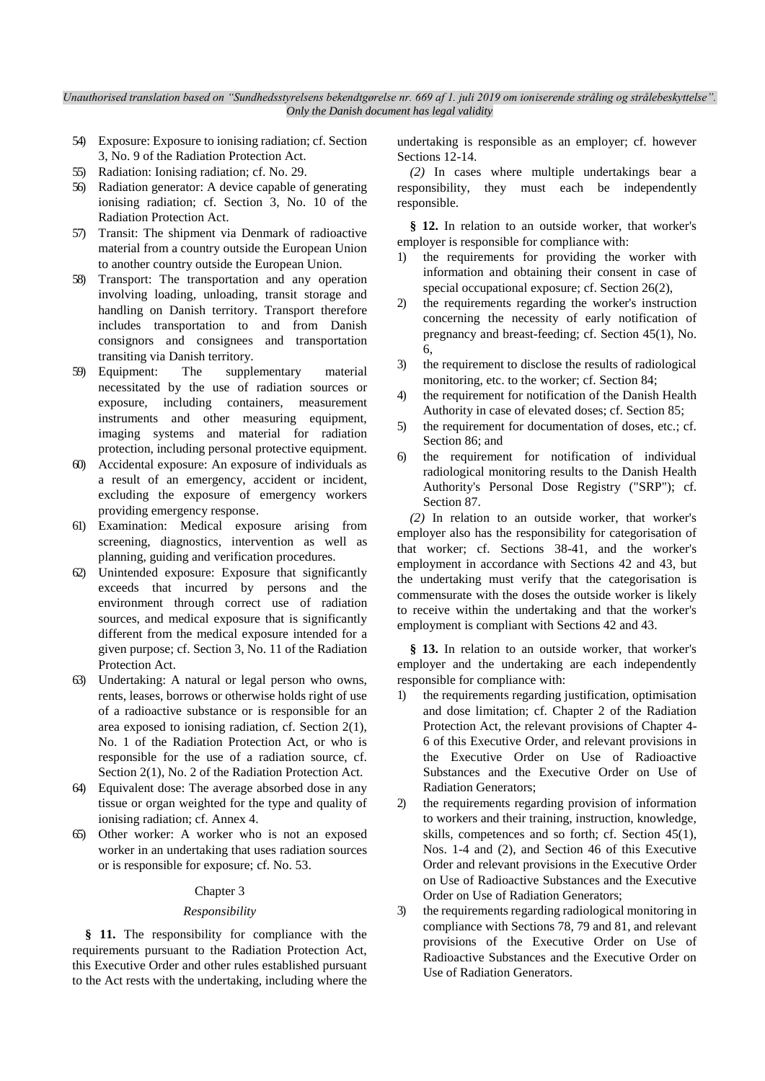- 54) Exposure: Exposure to ionising radiation; cf. Section 3, No. 9 of the Radiation Protection Act.
- 55) Radiation: Ionising radiation; cf. No. 29.
- 56) Radiation generator: A device capable of generating ionising radiation; cf. Section 3, No. 10 of the Radiation Protection Act.
- 57) Transit: The shipment via Denmark of radioactive material from a country outside the European Union to another country outside the European Union.
- 58) Transport: The transportation and any operation involving loading, unloading, transit storage and handling on Danish territory. Transport therefore includes transportation to and from Danish consignors and consignees and transportation transiting via Danish territory.
- 59) Equipment: The supplementary material necessitated by the use of radiation sources or exposure, including containers, measurement instruments and other measuring equipment, imaging systems and material for radiation protection, including personal protective equipment.
- 60) Accidental exposure: An exposure of individuals as a result of an emergency, accident or incident, excluding the exposure of emergency workers providing emergency response.
- 61) Examination: Medical exposure arising from screening, diagnostics, intervention as well as planning, guiding and verification procedures.
- 62) Unintended exposure: Exposure that significantly exceeds that incurred by persons and the environment through correct use of radiation sources, and medical exposure that is significantly different from the medical exposure intended for a given purpose; cf. Section 3, No. 11 of the Radiation Protection Act.
- 63) Undertaking: A natural or legal person who owns, rents, leases, borrows or otherwise holds right of use of a radioactive substance or is responsible for an area exposed to ionising radiation, cf. Section 2(1), No. 1 of the Radiation Protection Act, or who is responsible for the use of a radiation source, cf. Section 2(1), No. 2 of the Radiation Protection Act.
- 64) Equivalent dose: The average absorbed dose in any tissue or organ weighted for the type and quality of ionising radiation; cf. Annex 4.
- 65) Other worker: A worker who is not an exposed worker in an undertaking that uses radiation sources or is responsible for exposure; cf. No. 53.

#### Chapter 3

#### *Responsibility*

**§ 11.** The responsibility for compliance with the requirements pursuant to the Radiation Protection Act, this Executive Order and other rules established pursuant to the Act rests with the undertaking, including where the undertaking is responsible as an employer; cf. however Sections 12-14.

*(2)* In cases where multiple undertakings bear a responsibility, they must each be independently responsible.

**§ 12.** In relation to an outside worker, that worker's employer is responsible for compliance with:

- the requirements for providing the worker with information and obtaining their consent in case of special occupational exposure; cf. Section 26(2),
- 2) the requirements regarding the worker's instruction concerning the necessity of early notification of pregnancy and breast-feeding; cf. Section 45(1), No. 6,
- 3) the requirement to disclose the results of radiological monitoring, etc. to the worker; cf. Section 84;
- 4) the requirement for notification of the Danish Health Authority in case of elevated doses; cf. Section 85;
- 5) the requirement for documentation of doses, etc.; cf. Section 86; and
- 6) the requirement for notification of individual radiological monitoring results to the Danish Health Authority's Personal Dose Registry ("SRP"); cf. Section 87.

*(2)* In relation to an outside worker, that worker's employer also has the responsibility for categorisation of that worker; cf. Sections 38-41, and the worker's employment in accordance with Sections 42 and 43, but the undertaking must verify that the categorisation is commensurate with the doses the outside worker is likely to receive within the undertaking and that the worker's employment is compliant with Sections 42 and 43.

**§ 13.** In relation to an outside worker, that worker's employer and the undertaking are each independently responsible for compliance with:

- 1) the requirements regarding justification, optimisation and dose limitation; cf. Chapter 2 of the Radiation Protection Act, the relevant provisions of Chapter 4- 6 of this Executive Order, and relevant provisions in the Executive Order on Use of Radioactive Substances and the Executive Order on Use of Radiation Generators;
- 2) the requirements regarding provision of information to workers and their training, instruction, knowledge, skills, competences and so forth; cf. Section 45(1), Nos. 1-4 and (2), and Section 46 of this Executive Order and relevant provisions in the Executive Order on Use of Radioactive Substances and the Executive Order on Use of Radiation Generators;
- 3) the requirements regarding radiological monitoring in compliance with Sections 78, 79 and 81, and relevant provisions of the Executive Order on Use of Radioactive Substances and the Executive Order on Use of Radiation Generators.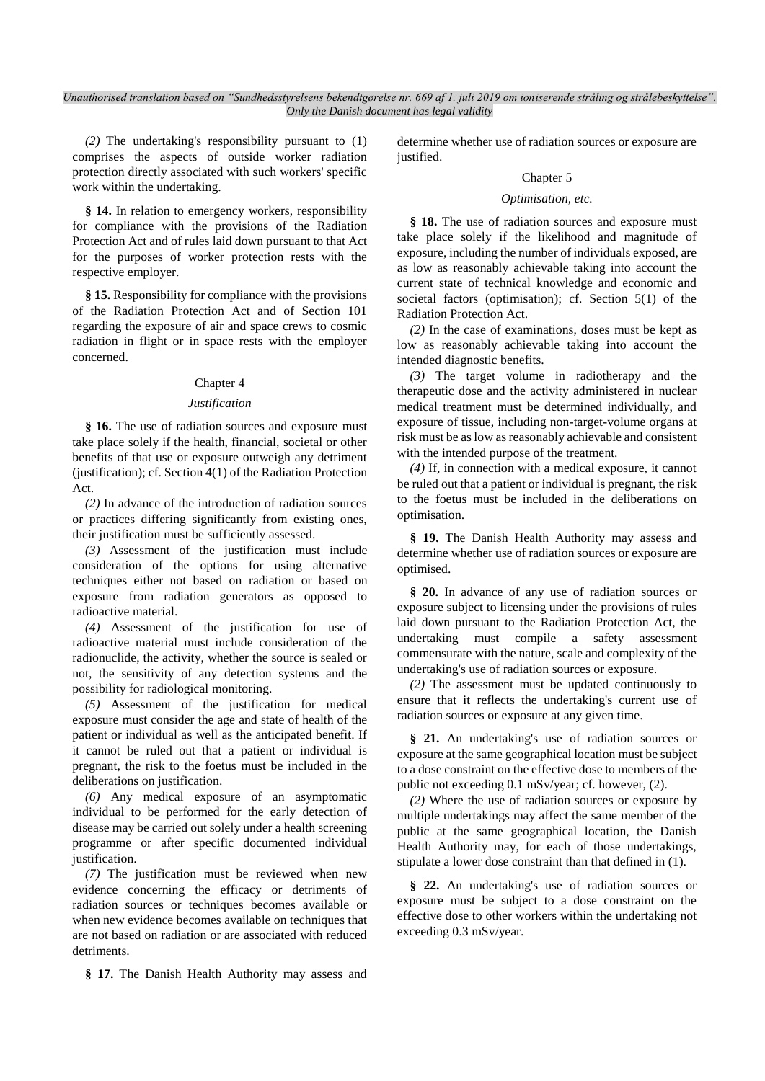*(2)* The undertaking's responsibility pursuant to (1) comprises the aspects of outside worker radiation protection directly associated with such workers' specific work within the undertaking.

**§ 14.** In relation to emergency workers, responsibility for compliance with the provisions of the Radiation Protection Act and of rules laid down pursuant to that Act for the purposes of worker protection rests with the respective employer.

**§ 15.** Responsibility for compliance with the provisions of the Radiation Protection Act and of Section 101 regarding the exposure of air and space crews to cosmic radiation in flight or in space rests with the employer concerned.

### Chapter 4

### *Justification*

**§ 16.** The use of radiation sources and exposure must take place solely if the health, financial, societal or other benefits of that use or exposure outweigh any detriment (justification); cf. Section 4(1) of the Radiation Protection Act.

*(2)* In advance of the introduction of radiation sources or practices differing significantly from existing ones, their justification must be sufficiently assessed.

*(3)* Assessment of the justification must include consideration of the options for using alternative techniques either not based on radiation or based on exposure from radiation generators as opposed to radioactive material.

*(4)* Assessment of the justification for use of radioactive material must include consideration of the radionuclide, the activity, whether the source is sealed or not, the sensitivity of any detection systems and the possibility for radiological monitoring.

*(5)* Assessment of the justification for medical exposure must consider the age and state of health of the patient or individual as well as the anticipated benefit. If it cannot be ruled out that a patient or individual is pregnant, the risk to the foetus must be included in the deliberations on justification.

*(6)* Any medical exposure of an asymptomatic individual to be performed for the early detection of disease may be carried out solely under a health screening programme or after specific documented individual justification.

*(7)* The justification must be reviewed when new evidence concerning the efficacy or detriments of radiation sources or techniques becomes available or when new evidence becomes available on techniques that are not based on radiation or are associated with reduced detriments.

**§ 17.** The Danish Health Authority may assess and

determine whether use of radiation sources or exposure are justified.

#### Chapter 5

#### *Optimisation, etc.*

**§ 18.** The use of radiation sources and exposure must take place solely if the likelihood and magnitude of exposure, including the number of individuals exposed, are as low as reasonably achievable taking into account the current state of technical knowledge and economic and societal factors (optimisation); cf. Section 5(1) of the Radiation Protection Act.

*(2)* In the case of examinations, doses must be kept as low as reasonably achievable taking into account the intended diagnostic benefits.

*(3)* The target volume in radiotherapy and the therapeutic dose and the activity administered in nuclear medical treatment must be determined individually, and exposure of tissue, including non-target-volume organs at risk must be as low as reasonably achievable and consistent with the intended purpose of the treatment.

*(4)* If, in connection with a medical exposure, it cannot be ruled out that a patient or individual is pregnant, the risk to the foetus must be included in the deliberations on optimisation.

**§ 19.** The Danish Health Authority may assess and determine whether use of radiation sources or exposure are optimised.

**§ 20.** In advance of any use of radiation sources or exposure subject to licensing under the provisions of rules laid down pursuant to the Radiation Protection Act, the undertaking must compile a safety assessment commensurate with the nature, scale and complexity of the undertaking's use of radiation sources or exposure.

*(2)* The assessment must be updated continuously to ensure that it reflects the undertaking's current use of radiation sources or exposure at any given time.

**§ 21.** An undertaking's use of radiation sources or exposure at the same geographical location must be subject to a dose constraint on the effective dose to members of the public not exceeding 0.1 mSv/year; cf. however, (2).

*(2)* Where the use of radiation sources or exposure by multiple undertakings may affect the same member of the public at the same geographical location, the Danish Health Authority may, for each of those undertakings, stipulate a lower dose constraint than that defined in (1).

**§ 22.** An undertaking's use of radiation sources or exposure must be subject to a dose constraint on the effective dose to other workers within the undertaking not exceeding 0.3 mSv/year.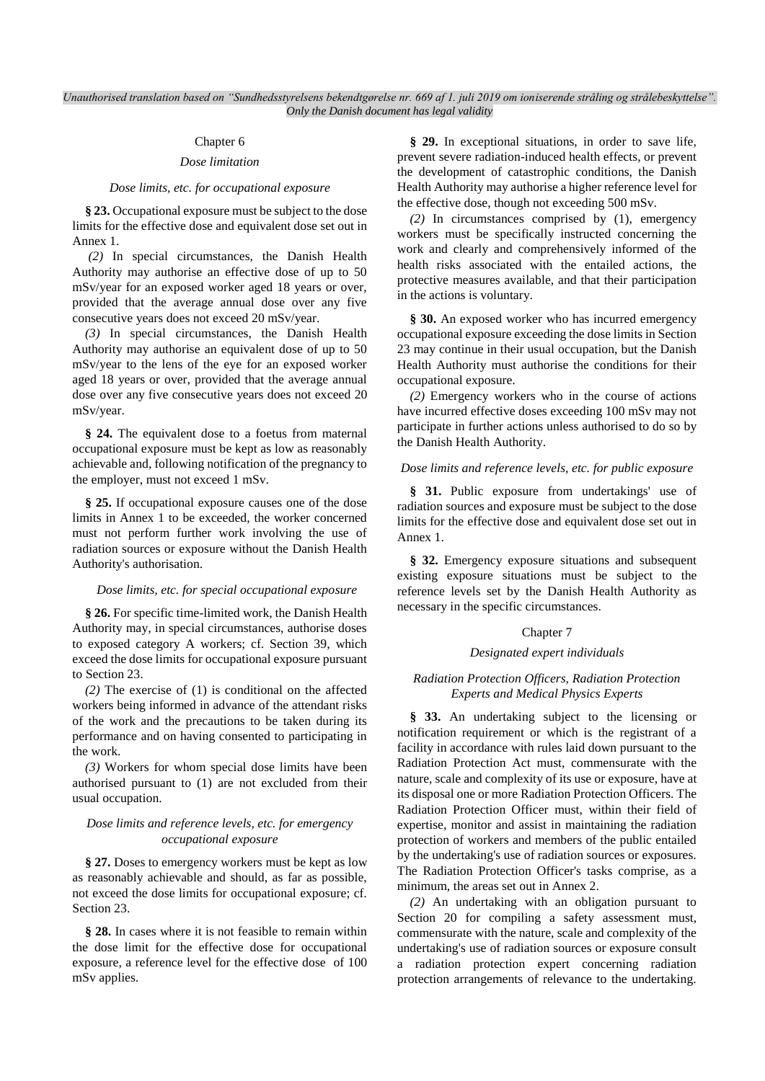### Chapter 6

### *Dose limitation*

#### *Dose limits, etc. for occupational exposure*

**§ 23.** Occupational exposure must be subject to the dose limits for the effective dose and equivalent dose set out in Annex 1.

*(2)* In special circumstances, the Danish Health Authority may authorise an effective dose of up to 50 mSv/year for an exposed worker aged 18 years or over, provided that the average annual dose over any five consecutive years does not exceed 20 mSv/year.

*(3)* In special circumstances, the Danish Health Authority may authorise an equivalent dose of up to 50 mSv/year to the lens of the eye for an exposed worker aged 18 years or over, provided that the average annual dose over any five consecutive years does not exceed 20 mSv/year.

**§ 24.** The equivalent dose to a foetus from maternal occupational exposure must be kept as low as reasonably achievable and, following notification of the pregnancy to the employer, must not exceed 1 mSv.

**§ 25.** If occupational exposure causes one of the dose limits in Annex 1 to be exceeded, the worker concerned must not perform further work involving the use of radiation sources or exposure without the Danish Health Authority's authorisation.

#### *Dose limits, etc. for special occupational exposure*

**§ 26.** For specific time-limited work, the Danish Health Authority may, in special circumstances, authorise doses to exposed category A workers; cf. Section 39, which exceed the dose limits for occupational exposure pursuant to Section 23.

*(2)* The exercise of (1) is conditional on the affected workers being informed in advance of the attendant risks of the work and the precautions to be taken during its performance and on having consented to participating in the work.

*(3)* Workers for whom special dose limits have been authorised pursuant to (1) are not excluded from their usual occupation.

### *Dose limits and reference levels, etc. for emergency occupational exposure*

**§ 27.** Doses to emergency workers must be kept as low as reasonably achievable and should, as far as possible, not exceed the dose limits for occupational exposure; cf. Section 23.

**§ 28.** In cases where it is not feasible to remain within the dose limit for the effective dose for occupational exposure, a reference level for the effective dose of 100 mSv applies.

**§ 29.** In exceptional situations, in order to save life, prevent severe radiation-induced health effects, or prevent the development of catastrophic conditions, the Danish Health Authority may authorise a higher reference level for the effective dose, though not exceeding 500 mSv.

*(2)* In circumstances comprised by (1), emergency workers must be specifically instructed concerning the work and clearly and comprehensively informed of the health risks associated with the entailed actions, the protective measures available, and that their participation in the actions is voluntary.

**§ 30.** An exposed worker who has incurred emergency occupational exposure exceeding the dose limits in Section 23 may continue in their usual occupation, but the Danish Health Authority must authorise the conditions for their occupational exposure.

*(2)* Emergency workers who in the course of actions have incurred effective doses exceeding 100 mSv may not participate in further actions unless authorised to do so by the Danish Health Authority.

#### *Dose limits and reference levels, etc. for public exposure*

§ 31. Public exposure from undertakings' use of radiation sources and exposure must be subject to the dose limits for the effective dose and equivalent dose set out in Annex 1.

**§ 32.** Emergency exposure situations and subsequent existing exposure situations must be subject to the reference levels set by the Danish Health Authority as necessary in the specific circumstances.

#### Chapter 7

#### *Designated expert individuals*

### *Radiation Protection Officers, Radiation Protection Experts and Medical Physics Experts*

**§ 33.** An undertaking subject to the licensing or notification requirement or which is the registrant of a facility in accordance with rules laid down pursuant to the Radiation Protection Act must, commensurate with the nature, scale and complexity of its use or exposure, have at its disposal one or more Radiation Protection Officers. The Radiation Protection Officer must, within their field of expertise, monitor and assist in maintaining the radiation protection of workers and members of the public entailed by the undertaking's use of radiation sources or exposures. The Radiation Protection Officer's tasks comprise, as a minimum, the areas set out in Annex 2.

*(2)* An undertaking with an obligation pursuant to Section 20 for compiling a safety assessment must, commensurate with the nature, scale and complexity of the undertaking's use of radiation sources or exposure consult a radiation protection expert concerning radiation protection arrangements of relevance to the undertaking.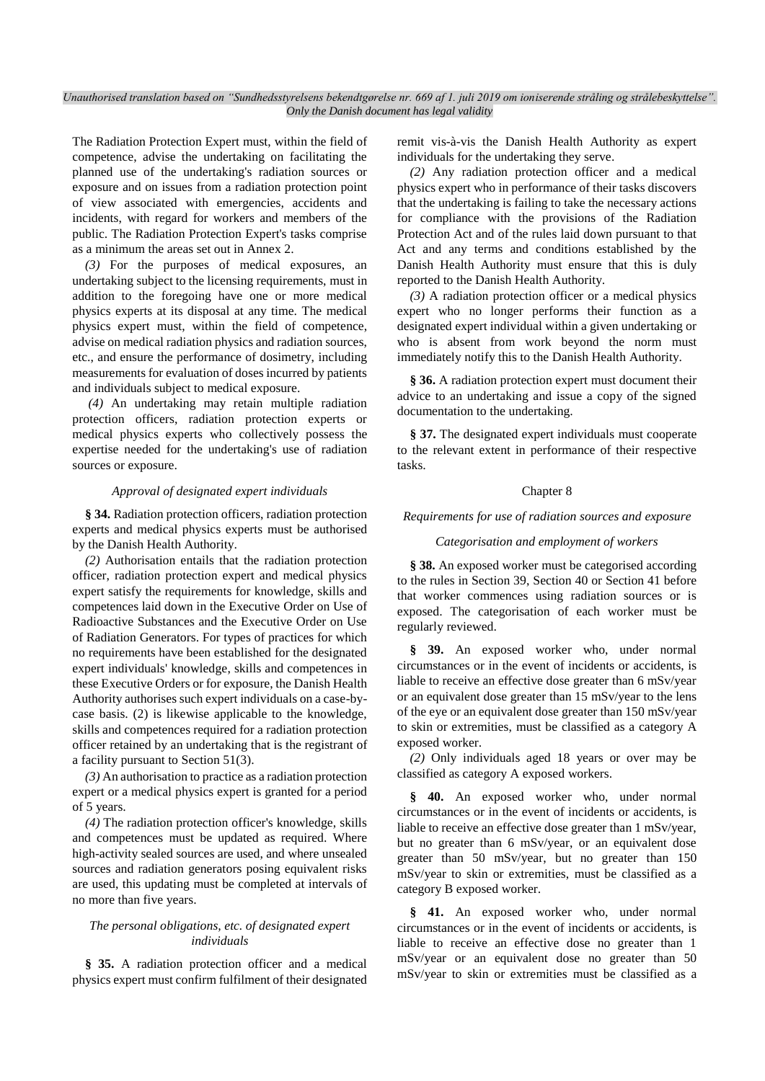The Radiation Protection Expert must, within the field of competence, advise the undertaking on facilitating the planned use of the undertaking's radiation sources or exposure and on issues from a radiation protection point of view associated with emergencies, accidents and incidents, with regard for workers and members of the public. The Radiation Protection Expert's tasks comprise as a minimum the areas set out in Annex 2.

*(3)* For the purposes of medical exposures, an undertaking subject to the licensing requirements, must in addition to the foregoing have one or more medical physics experts at its disposal at any time. The medical physics expert must, within the field of competence, advise on medical radiation physics and radiation sources, etc., and ensure the performance of dosimetry, including measurements for evaluation of doses incurred by patients and individuals subject to medical exposure.

*(4)* An undertaking may retain multiple radiation protection officers, radiation protection experts or medical physics experts who collectively possess the expertise needed for the undertaking's use of radiation sources or exposure.

#### *Approval of designated expert individuals*

**§ 34.** Radiation protection officers, radiation protection experts and medical physics experts must be authorised by the Danish Health Authority.

*(2)* Authorisation entails that the radiation protection officer, radiation protection expert and medical physics expert satisfy the requirements for knowledge, skills and competences laid down in the Executive Order on Use of Radioactive Substances and the Executive Order on Use of Radiation Generators. For types of practices for which no requirements have been established for the designated expert individuals' knowledge, skills and competences in these Executive Orders or for exposure, the Danish Health Authority authorises such expert individuals on a case-bycase basis. (2) is likewise applicable to the knowledge, skills and competences required for a radiation protection officer retained by an undertaking that is the registrant of a facility pursuant to Section 51(3).

*(3)* An authorisation to practice as a radiation protection expert or a medical physics expert is granted for a period of 5 years.

*(4)* The radiation protection officer's knowledge, skills and competences must be updated as required. Where high-activity sealed sources are used, and where unsealed sources and radiation generators posing equivalent risks are used, this updating must be completed at intervals of no more than five years.

#### *The personal obligations, etc. of designated expert individuals*

**§ 35.** A radiation protection officer and a medical physics expert must confirm fulfilment of their designated remit vis-à-vis the Danish Health Authority as expert individuals for the undertaking they serve.

*(2)* Any radiation protection officer and a medical physics expert who in performance of their tasks discovers that the undertaking is failing to take the necessary actions for compliance with the provisions of the Radiation Protection Act and of the rules laid down pursuant to that Act and any terms and conditions established by the Danish Health Authority must ensure that this is duly reported to the Danish Health Authority.

*(3)* A radiation protection officer or a medical physics expert who no longer performs their function as a designated expert individual within a given undertaking or who is absent from work beyond the norm must immediately notify this to the Danish Health Authority.

**§ 36.** A radiation protection expert must document their advice to an undertaking and issue a copy of the signed documentation to the undertaking.

**§ 37.** The designated expert individuals must cooperate to the relevant extent in performance of their respective tasks.

#### Chapter 8

#### *Requirements for use of radiation sources and exposure*

#### *Categorisation and employment of workers*

**§ 38.** An exposed worker must be categorised according to the rules in Section 39, Section 40 or Section 41 before that worker commences using radiation sources or is exposed. The categorisation of each worker must be regularly reviewed.

**§ 39.** An exposed worker who, under normal circumstances or in the event of incidents or accidents, is liable to receive an effective dose greater than 6 mSv/year or an equivalent dose greater than 15 mSv/year to the lens of the eye or an equivalent dose greater than 150 mSv/year to skin or extremities, must be classified as a category A exposed worker.

*(2)* Only individuals aged 18 years or over may be classified as category A exposed workers.

**§ 40.** An exposed worker who, under normal circumstances or in the event of incidents or accidents, is liable to receive an effective dose greater than 1 mSv/year, but no greater than 6 mSv/year, or an equivalent dose greater than 50 mSv/year, but no greater than 150 mSv/year to skin or extremities, must be classified as a category B exposed worker.

**§ 41.** An exposed worker who, under normal circumstances or in the event of incidents or accidents, is liable to receive an effective dose no greater than 1 mSv/year or an equivalent dose no greater than 50 mSv/year to skin or extremities must be classified as a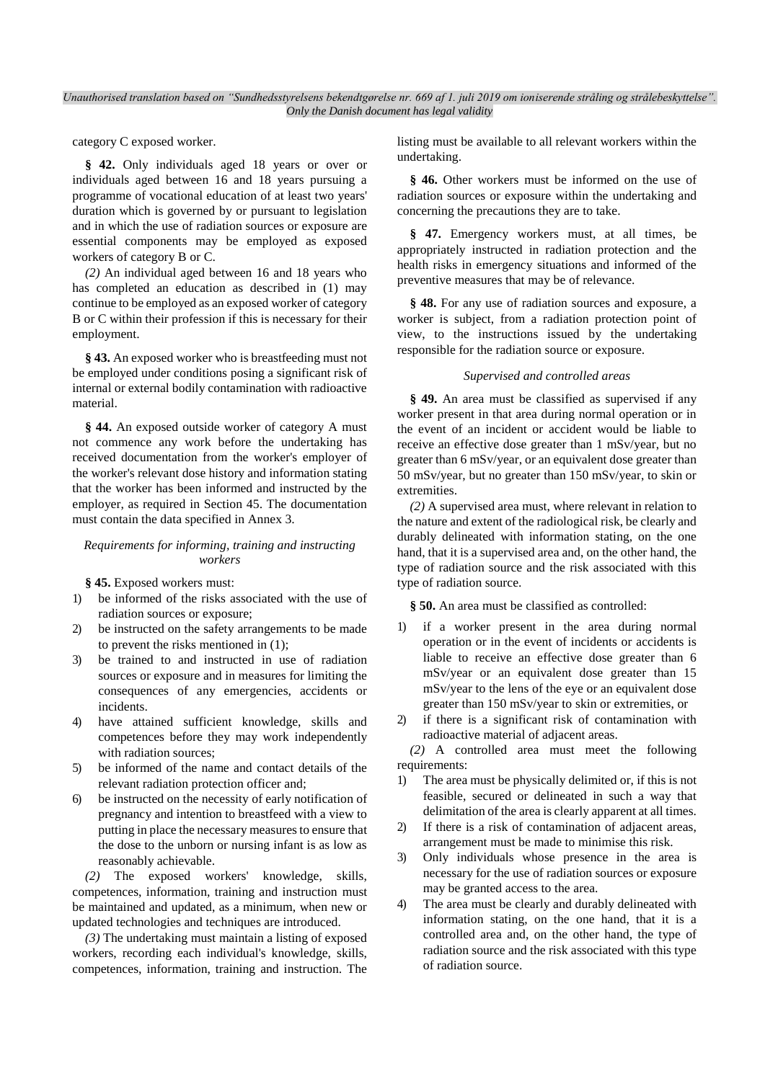category C exposed worker.

**§ 42.** Only individuals aged 18 years or over or individuals aged between 16 and 18 years pursuing a programme of vocational education of at least two years' duration which is governed by or pursuant to legislation and in which the use of radiation sources or exposure are essential components may be employed as exposed workers of category B or C.

*(2)* An individual aged between 16 and 18 years who has completed an education as described in (1) may continue to be employed as an exposed worker of category B or C within their profession if this is necessary for their employment.

**§ 43.** An exposed worker who is breastfeeding must not be employed under conditions posing a significant risk of internal or external bodily contamination with radioactive material.

**§ 44.** An exposed outside worker of category A must not commence any work before the undertaking has received documentation from the worker's employer of the worker's relevant dose history and information stating that the worker has been informed and instructed by the employer, as required in Section 45. The documentation must contain the data specified in Annex 3.

#### *Requirements for informing, training and instructing workers*

**§ 45.** Exposed workers must:

- 1) be informed of the risks associated with the use of radiation sources or exposure;
- 2) be instructed on the safety arrangements to be made to prevent the risks mentioned in (1);
- 3) be trained to and instructed in use of radiation sources or exposure and in measures for limiting the consequences of any emergencies, accidents or incidents.
- 4) have attained sufficient knowledge, skills and competences before they may work independently with radiation sources;
- 5) be informed of the name and contact details of the relevant radiation protection officer and;
- 6) be instructed on the necessity of early notification of pregnancy and intention to breastfeed with a view to putting in place the necessary measures to ensure that the dose to the unborn or nursing infant is as low as reasonably achievable.

*(2)* The exposed workers' knowledge, skills, competences, information, training and instruction must be maintained and updated, as a minimum, when new or updated technologies and techniques are introduced.

*(3)* The undertaking must maintain a listing of exposed workers, recording each individual's knowledge, skills, competences, information, training and instruction. The

listing must be available to all relevant workers within the undertaking.

**§ 46.** Other workers must be informed on the use of radiation sources or exposure within the undertaking and concerning the precautions they are to take.

**§ 47.** Emergency workers must, at all times, be appropriately instructed in radiation protection and the health risks in emergency situations and informed of the preventive measures that may be of relevance.

**§ 48.** For any use of radiation sources and exposure, a worker is subject, from a radiation protection point of view, to the instructions issued by the undertaking responsible for the radiation source or exposure.

#### *Supervised and controlled areas*

**§ 49.** An area must be classified as supervised if any worker present in that area during normal operation or in the event of an incident or accident would be liable to receive an effective dose greater than 1 mSv/year, but no greater than 6 mSv/year, or an equivalent dose greater than 50 mSv/year, but no greater than 150 mSv/year, to skin or extremities.

*(2)* A supervised area must, where relevant in relation to the nature and extent of the radiological risk, be clearly and durably delineated with information stating, on the one hand, that it is a supervised area and, on the other hand, the type of radiation source and the risk associated with this type of radiation source.

**§ 50.** An area must be classified as controlled:

- 1) if a worker present in the area during normal operation or in the event of incidents or accidents is liable to receive an effective dose greater than 6 mSv/year or an equivalent dose greater than 15 mSv/year to the lens of the eye or an equivalent dose greater than 150 mSv/year to skin or extremities, or
- 2) if there is a significant risk of contamination with radioactive material of adjacent areas.

*(2)* A controlled area must meet the following requirements:

- 1) The area must be physically delimited or, if this is not feasible, secured or delineated in such a way that delimitation of the area is clearly apparent at all times.
- 2) If there is a risk of contamination of adjacent areas, arrangement must be made to minimise this risk.
- 3) Only individuals whose presence in the area is necessary for the use of radiation sources or exposure may be granted access to the area.
- 4) The area must be clearly and durably delineated with information stating, on the one hand, that it is a controlled area and, on the other hand, the type of radiation source and the risk associated with this type of radiation source.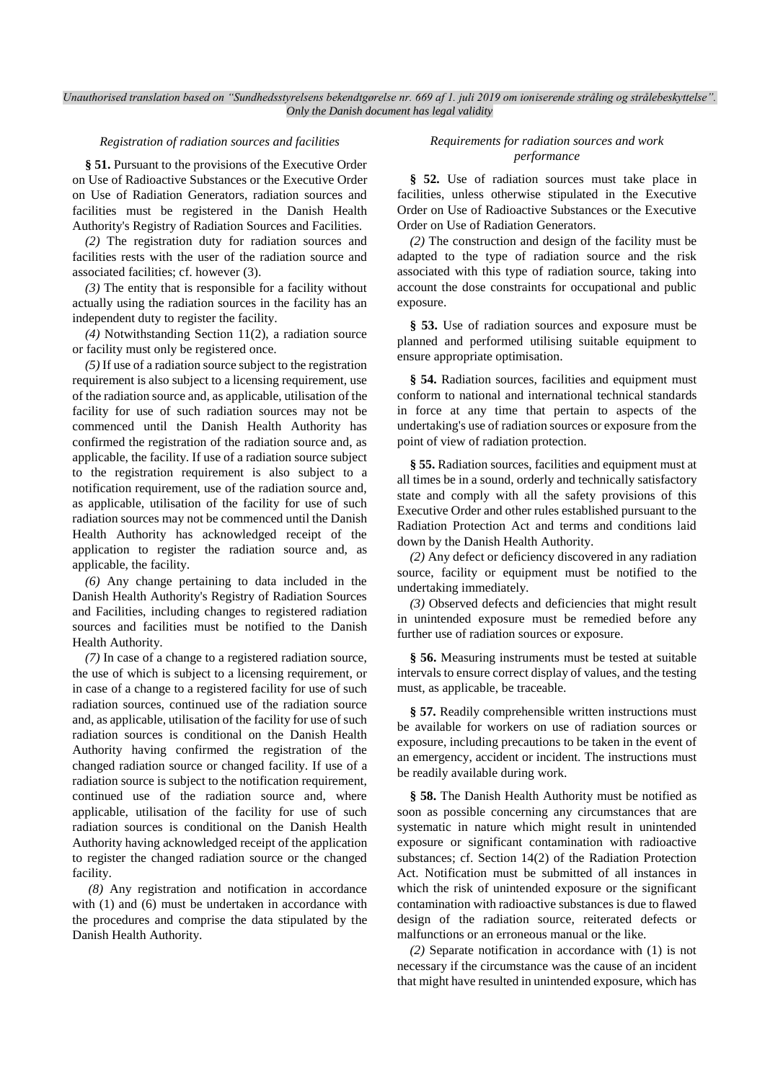#### *Registration of radiation sources and facilities*

**§ 51.** Pursuant to the provisions of the Executive Order on Use of Radioactive Substances or the Executive Order on Use of Radiation Generators, radiation sources and facilities must be registered in the Danish Health Authority's Registry of Radiation Sources and Facilities.

*(2)* The registration duty for radiation sources and facilities rests with the user of the radiation source and associated facilities; cf. however (3).

*(3)* The entity that is responsible for a facility without actually using the radiation sources in the facility has an independent duty to register the facility.

*(4)* Notwithstanding Section 11(2), a radiation source or facility must only be registered once.

*(5)* If use of a radiation source subject to the registration requirement is also subject to a licensing requirement, use of the radiation source and, as applicable, utilisation of the facility for use of such radiation sources may not be commenced until the Danish Health Authority has confirmed the registration of the radiation source and, as applicable, the facility. If use of a radiation source subject to the registration requirement is also subject to a notification requirement, use of the radiation source and, as applicable, utilisation of the facility for use of such radiation sources may not be commenced until the Danish Health Authority has acknowledged receipt of the application to register the radiation source and, as applicable, the facility.

*(6)* Any change pertaining to data included in the Danish Health Authority's Registry of Radiation Sources and Facilities, including changes to registered radiation sources and facilities must be notified to the Danish Health Authority.

*(7)* In case of a change to a registered radiation source, the use of which is subject to a licensing requirement, or in case of a change to a registered facility for use of such radiation sources, continued use of the radiation source and, as applicable, utilisation of the facility for use of such radiation sources is conditional on the Danish Health Authority having confirmed the registration of the changed radiation source or changed facility. If use of a radiation source is subject to the notification requirement, continued use of the radiation source and, where applicable, utilisation of the facility for use of such radiation sources is conditional on the Danish Health Authority having acknowledged receipt of the application to register the changed radiation source or the changed facility.

*(8)* Any registration and notification in accordance with (1) and (6) must be undertaken in accordance with the procedures and comprise the data stipulated by the Danish Health Authority.

#### *Requirements for radiation sources and work performance*

**§ 52.** Use of radiation sources must take place in facilities, unless otherwise stipulated in the Executive Order on Use of Radioactive Substances or the Executive Order on Use of Radiation Generators.

*(2)* The construction and design of the facility must be adapted to the type of radiation source and the risk associated with this type of radiation source, taking into account the dose constraints for occupational and public exposure.

**§ 53.** Use of radiation sources and exposure must be planned and performed utilising suitable equipment to ensure appropriate optimisation.

**§ 54.** Radiation sources, facilities and equipment must conform to national and international technical standards in force at any time that pertain to aspects of the undertaking's use of radiation sources or exposure from the point of view of radiation protection.

**§ 55.** Radiation sources, facilities and equipment must at all times be in a sound, orderly and technically satisfactory state and comply with all the safety provisions of this Executive Order and other rules established pursuant to the Radiation Protection Act and terms and conditions laid down by the Danish Health Authority.

*(2)* Any defect or deficiency discovered in any radiation source, facility or equipment must be notified to the undertaking immediately.

*(3)* Observed defects and deficiencies that might result in unintended exposure must be remedied before any further use of radiation sources or exposure.

**§ 56.** Measuring instruments must be tested at suitable intervals to ensure correct display of values, and the testing must, as applicable, be traceable.

**§ 57.** Readily comprehensible written instructions must be available for workers on use of radiation sources or exposure, including precautions to be taken in the event of an emergency, accident or incident. The instructions must be readily available during work.

**§ 58.** The Danish Health Authority must be notified as soon as possible concerning any circumstances that are systematic in nature which might result in unintended exposure or significant contamination with radioactive substances; cf. Section 14(2) of the Radiation Protection Act. Notification must be submitted of all instances in which the risk of unintended exposure or the significant contamination with radioactive substances is due to flawed design of the radiation source, reiterated defects or malfunctions or an erroneous manual or the like.

*(2)* Separate notification in accordance with (1) is not necessary if the circumstance was the cause of an incident that might have resulted in unintended exposure, which has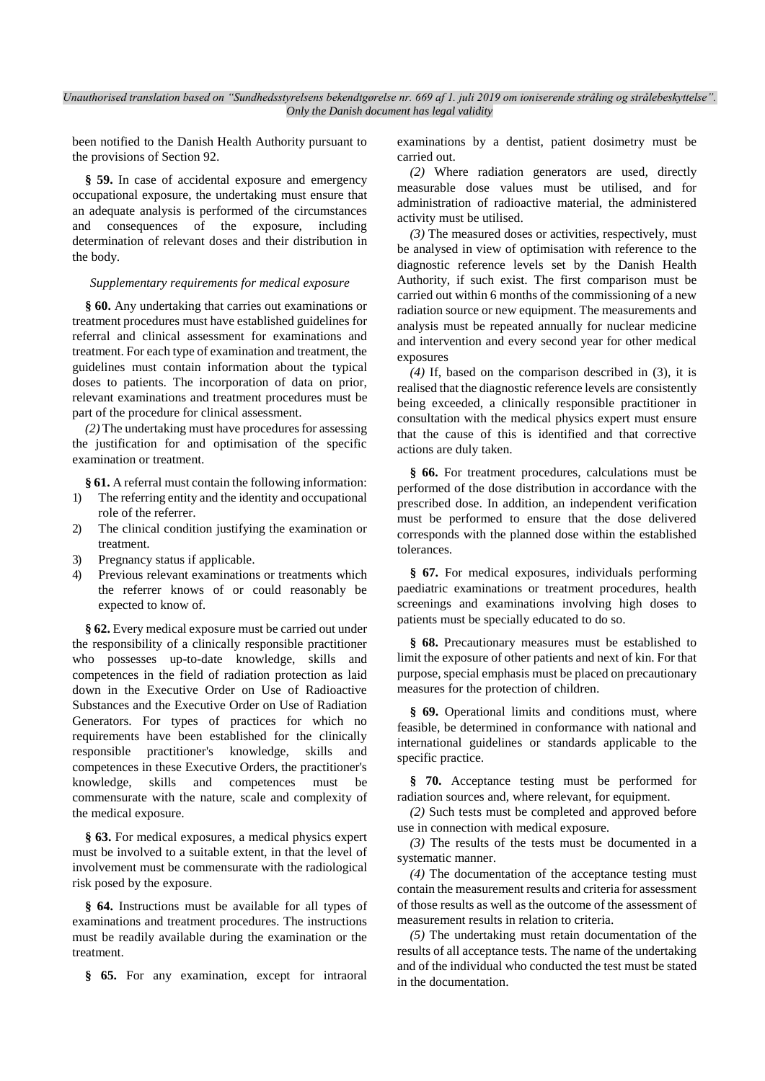been notified to the Danish Health Authority pursuant to the provisions of Section 92.

**§ 59.** In case of accidental exposure and emergency occupational exposure, the undertaking must ensure that an adequate analysis is performed of the circumstances and consequences of the exposure, including determination of relevant doses and their distribution in the body.

#### *Supplementary requirements for medical exposure*

**§ 60.** Any undertaking that carries out examinations or treatment procedures must have established guidelines for referral and clinical assessment for examinations and treatment. For each type of examination and treatment, the guidelines must contain information about the typical doses to patients. The incorporation of data on prior, relevant examinations and treatment procedures must be part of the procedure for clinical assessment.

*(2)* The undertaking must have procedures for assessing the justification for and optimisation of the specific examination or treatment.

**§ 61.** A referral must contain the following information:

- 1) The referring entity and the identity and occupational role of the referrer.
- 2) The clinical condition justifying the examination or treatment.
- 3) Pregnancy status if applicable.<br>4) Previous relevant examination
- Previous relevant examinations or treatments which the referrer knows of or could reasonably be expected to know of.

**§ 62.** Every medical exposure must be carried out under the responsibility of a clinically responsible practitioner who possesses up-to-date knowledge, skills and competences in the field of radiation protection as laid down in the Executive Order on Use of Radioactive Substances and the Executive Order on Use of Radiation Generators. For types of practices for which no requirements have been established for the clinically responsible practitioner's knowledge, skills and competences in these Executive Orders, the practitioner's knowledge, skills and competences must be commensurate with the nature, scale and complexity of the medical exposure.

**§ 63.** For medical exposures, a medical physics expert must be involved to a suitable extent, in that the level of involvement must be commensurate with the radiological risk posed by the exposure.

**§ 64.** Instructions must be available for all types of examinations and treatment procedures. The instructions must be readily available during the examination or the treatment.

**§ 65.** For any examination, except for intraoral

examinations by a dentist, patient dosimetry must be carried out.

*(2)* Where radiation generators are used, directly measurable dose values must be utilised, and for administration of radioactive material, the administered activity must be utilised.

*(3)* The measured doses or activities, respectively, must be analysed in view of optimisation with reference to the diagnostic reference levels set by the Danish Health Authority, if such exist. The first comparison must be carried out within 6 months of the commissioning of a new radiation source or new equipment. The measurements and analysis must be repeated annually for nuclear medicine and intervention and every second year for other medical exposures

*(4)* If, based on the comparison described in (3), it is realised that the diagnostic reference levels are consistently being exceeded, a clinically responsible practitioner in consultation with the medical physics expert must ensure that the cause of this is identified and that corrective actions are duly taken.

**§ 66.** For treatment procedures, calculations must be performed of the dose distribution in accordance with the prescribed dose. In addition, an independent verification must be performed to ensure that the dose delivered corresponds with the planned dose within the established tolerances.

**§ 67.** For medical exposures, individuals performing paediatric examinations or treatment procedures, health screenings and examinations involving high doses to patients must be specially educated to do so.

**§ 68.** Precautionary measures must be established to limit the exposure of other patients and next of kin. For that purpose, special emphasis must be placed on precautionary measures for the protection of children.

**§ 69.** Operational limits and conditions must, where feasible, be determined in conformance with national and international guidelines or standards applicable to the specific practice.

**§ 70.** Acceptance testing must be performed for radiation sources and, where relevant, for equipment.

*(2)* Such tests must be completed and approved before use in connection with medical exposure.

*(3)* The results of the tests must be documented in a systematic manner.

*(4)* The documentation of the acceptance testing must contain the measurement results and criteria for assessment of those results as well as the outcome of the assessment of measurement results in relation to criteria.

*(5)* The undertaking must retain documentation of the results of all acceptance tests. The name of the undertaking and of the individual who conducted the test must be stated in the documentation.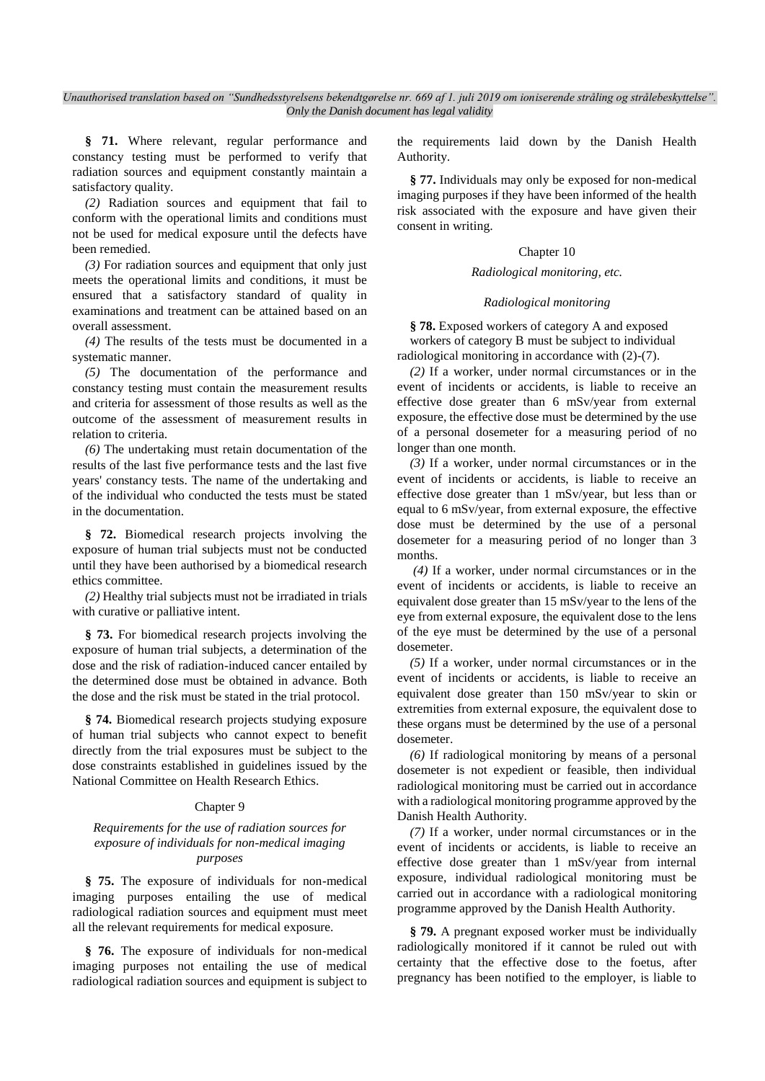**§ 71.** Where relevant, regular performance and constancy testing must be performed to verify that radiation sources and equipment constantly maintain a satisfactory quality.

*(2)* Radiation sources and equipment that fail to conform with the operational limits and conditions must not be used for medical exposure until the defects have been remedied.

*(3)* For radiation sources and equipment that only just meets the operational limits and conditions, it must be ensured that a satisfactory standard of quality in examinations and treatment can be attained based on an overall assessment.

*(4)* The results of the tests must be documented in a systematic manner.

*(5)* The documentation of the performance and constancy testing must contain the measurement results and criteria for assessment of those results as well as the outcome of the assessment of measurement results in relation to criteria.

*(6)* The undertaking must retain documentation of the results of the last five performance tests and the last five years' constancy tests. The name of the undertaking and of the individual who conducted the tests must be stated in the documentation.

**§ 72.** Biomedical research projects involving the exposure of human trial subjects must not be conducted until they have been authorised by a biomedical research ethics committee.

*(2)* Healthy trial subjects must not be irradiated in trials with curative or palliative intent.

**§ 73.** For biomedical research projects involving the exposure of human trial subjects, a determination of the dose and the risk of radiation-induced cancer entailed by the determined dose must be obtained in advance. Both the dose and the risk must be stated in the trial protocol.

**§ 74.** Biomedical research projects studying exposure of human trial subjects who cannot expect to benefit directly from the trial exposures must be subject to the dose constraints established in guidelines issued by the National Committee on Health Research Ethics.

#### Chapter 9

### *Requirements for the use of radiation sources for exposure of individuals for non-medical imaging purposes*

**§ 75.** The exposure of individuals for non-medical imaging purposes entailing the use of medical radiological radiation sources and equipment must meet all the relevant requirements for medical exposure.

**§ 76.** The exposure of individuals for non-medical imaging purposes not entailing the use of medical radiological radiation sources and equipment is subject to

the requirements laid down by the Danish Health Authority.

**§ 77.** Individuals may only be exposed for non-medical imaging purposes if they have been informed of the health risk associated with the exposure and have given their consent in writing.

#### Chapter 10

### *Radiological monitoring, etc.*

#### *Radiological monitoring*

**§ 78.** Exposed workers of category A and exposed workers of category B must be subject to individual radiological monitoring in accordance with (2)-(7).

*(2)* If a worker, under normal circumstances or in the event of incidents or accidents, is liable to receive an effective dose greater than 6 mSv/year from external exposure, the effective dose must be determined by the use of a personal dosemeter for a measuring period of no longer than one month.

*(3)* If a worker, under normal circumstances or in the event of incidents or accidents, is liable to receive an effective dose greater than 1 mSv/year, but less than or equal to 6 mSv/year, from external exposure, the effective dose must be determined by the use of a personal dosemeter for a measuring period of no longer than 3 months.

*(4)* If a worker, under normal circumstances or in the event of incidents or accidents, is liable to receive an equivalent dose greater than 15 mSv/year to the lens of the eye from external exposure, the equivalent dose to the lens of the eye must be determined by the use of a personal dosemeter.

*(5)* If a worker, under normal circumstances or in the event of incidents or accidents, is liable to receive an equivalent dose greater than 150 mSv/year to skin or extremities from external exposure, the equivalent dose to these organs must be determined by the use of a personal dosemeter.

*(6)* If radiological monitoring by means of a personal dosemeter is not expedient or feasible, then individual radiological monitoring must be carried out in accordance with a radiological monitoring programme approved by the Danish Health Authority.

*(7)* If a worker, under normal circumstances or in the event of incidents or accidents, is liable to receive an effective dose greater than 1 mSv/year from internal exposure, individual radiological monitoring must be carried out in accordance with a radiological monitoring programme approved by the Danish Health Authority.

**§ 79.** A pregnant exposed worker must be individually radiologically monitored if it cannot be ruled out with certainty that the effective dose to the foetus, after pregnancy has been notified to the employer, is liable to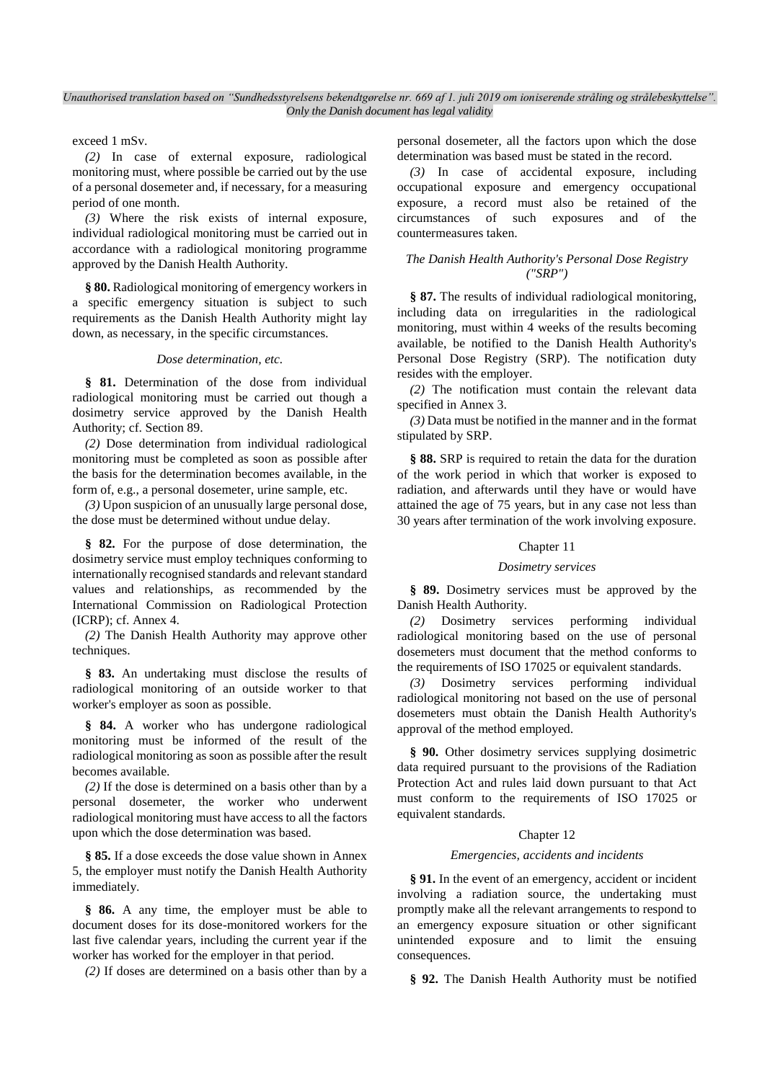exceed 1 mSv.

*(2)* In case of external exposure, radiological monitoring must, where possible be carried out by the use of a personal dosemeter and, if necessary, for a measuring period of one month.

*(3)* Where the risk exists of internal exposure, individual radiological monitoring must be carried out in accordance with a radiological monitoring programme approved by the Danish Health Authority.

**§ 80.** Radiological monitoring of emergency workers in a specific emergency situation is subject to such requirements as the Danish Health Authority might lay down, as necessary, in the specific circumstances.

#### *Dose determination, etc.*

**§ 81.** Determination of the dose from individual radiological monitoring must be carried out though a dosimetry service approved by the Danish Health Authority; cf. Section 89.

*(2)* Dose determination from individual radiological monitoring must be completed as soon as possible after the basis for the determination becomes available, in the form of, e.g., a personal dosemeter, urine sample, etc.

*(3)* Upon suspicion of an unusually large personal dose, the dose must be determined without undue delay.

**§ 82.** For the purpose of dose determination, the dosimetry service must employ techniques conforming to internationally recognised standards and relevant standard values and relationships, as recommended by the International Commission on Radiological Protection (ICRP); cf. Annex 4.

*(2)* The Danish Health Authority may approve other techniques.

**§ 83.** An undertaking must disclose the results of radiological monitoring of an outside worker to that worker's employer as soon as possible.

**§ 84.** A worker who has undergone radiological monitoring must be informed of the result of the radiological monitoring as soon as possible after the result becomes available.

*(2)* If the dose is determined on a basis other than by a personal dosemeter, the worker who underwent radiological monitoring must have access to all the factors upon which the dose determination was based.

**§ 85.** If a dose exceeds the dose value shown in Annex 5, the employer must notify the Danish Health Authority immediately.

**§ 86.** A any time, the employer must be able to document doses for its dose-monitored workers for the last five calendar years, including the current year if the worker has worked for the employer in that period.

*(2)* If doses are determined on a basis other than by a

personal dosemeter, all the factors upon which the dose determination was based must be stated in the record.

*(3)* In case of accidental exposure, including occupational exposure and emergency occupational exposure, a record must also be retained of the circumstances of such exposures and of the countermeasures taken.

### *The Danish Health Authority's Personal Dose Registry ("SRP")*

**§ 87.** The results of individual radiological monitoring, including data on irregularities in the radiological monitoring, must within 4 weeks of the results becoming available, be notified to the Danish Health Authority's Personal Dose Registry (SRP). The notification duty resides with the employer.

*(2)* The notification must contain the relevant data specified in Annex 3.

*(3)* Data must be notified in the manner and in the format stipulated by SRP.

**§ 88.** SRP is required to retain the data for the duration of the work period in which that worker is exposed to radiation, and afterwards until they have or would have attained the age of 75 years, but in any case not less than 30 years after termination of the work involving exposure.

#### Chapter 11

#### *Dosimetry services*

**§ 89.** Dosimetry services must be approved by the Danish Health Authority.

*(2)* Dosimetry services performing individual radiological monitoring based on the use of personal dosemeters must document that the method conforms to the requirements of ISO 17025 or equivalent standards.

*(3)* Dosimetry services performing individual radiological monitoring not based on the use of personal dosemeters must obtain the Danish Health Authority's approval of the method employed.

**§ 90.** Other dosimetry services supplying dosimetric data required pursuant to the provisions of the Radiation Protection Act and rules laid down pursuant to that Act must conform to the requirements of ISO 17025 or equivalent standards.

#### Chapter 12

#### *Emergencies, accidents and incidents*

**§ 91.** In the event of an emergency, accident or incident involving a radiation source, the undertaking must promptly make all the relevant arrangements to respond to an emergency exposure situation or other significant unintended exposure and to limit the ensuing consequences.

**§ 92.** The Danish Health Authority must be notified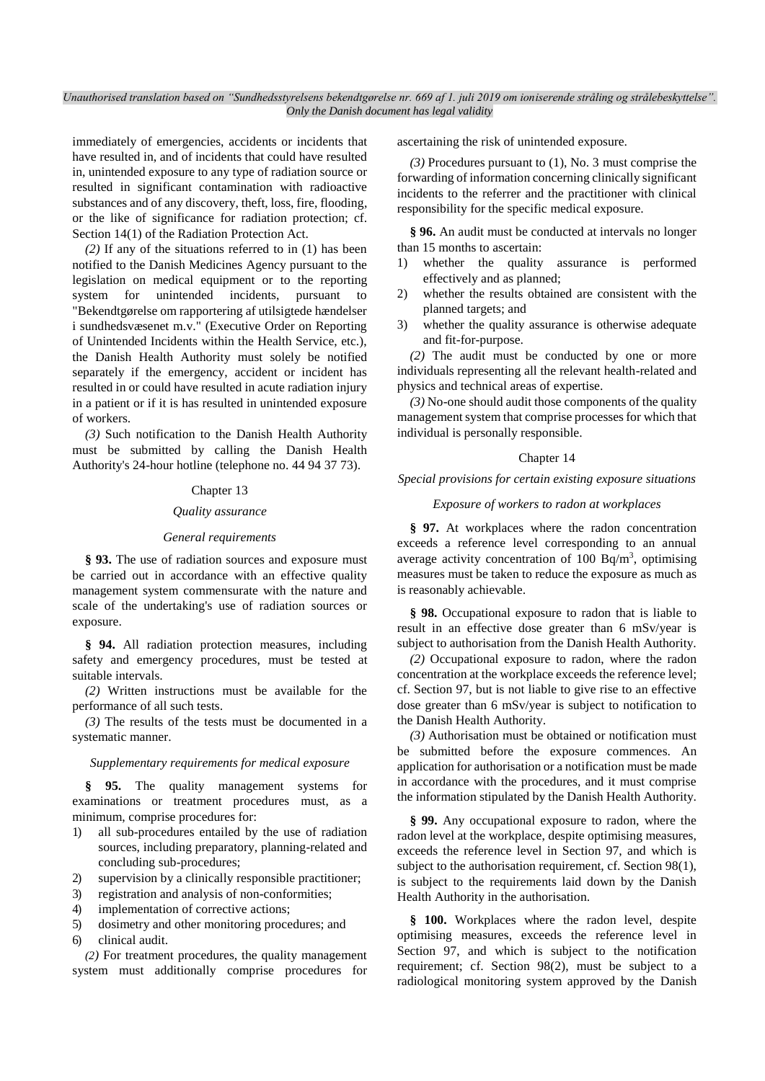immediately of emergencies, accidents or incidents that have resulted in, and of incidents that could have resulted in, unintended exposure to any type of radiation source or resulted in significant contamination with radioactive substances and of any discovery, theft, loss, fire, flooding, or the like of significance for radiation protection; cf. Section 14(1) of the Radiation Protection Act.

*(2)* If any of the situations referred to in (1) has been notified to the Danish Medicines Agency pursuant to the legislation on medical equipment or to the reporting system for unintended incidents, pursuant to "Bekendtgørelse om rapportering af utilsigtede hændelser i sundhedsvæsenet m.v." (Executive Order on Reporting of Unintended Incidents within the Health Service, etc.), the Danish Health Authority must solely be notified separately if the emergency, accident or incident has resulted in or could have resulted in acute radiation injury in a patient or if it is has resulted in unintended exposure of workers.

*(3)* Such notification to the Danish Health Authority must be submitted by calling the Danish Health Authority's 24-hour hotline (telephone no. 44 94 37 73).

#### Chapter 13

## *Quality assurance*

#### *General requirements*

**§ 93.** The use of radiation sources and exposure must be carried out in accordance with an effective quality management system commensurate with the nature and scale of the undertaking's use of radiation sources or exposure.

**§ 94.** All radiation protection measures, including safety and emergency procedures, must be tested at suitable intervals.

*(2)* Written instructions must be available for the performance of all such tests.

*(3)* The results of the tests must be documented in a systematic manner.

#### *Supplementary requirements for medical exposure*

**§ 95.** The quality management systems for examinations or treatment procedures must, as a minimum, comprise procedures for:

- 1) all sub-procedures entailed by the use of radiation sources, including preparatory, planning-related and concluding sub-procedures;
- 2) supervision by a clinically responsible practitioner;
- 3) registration and analysis of non-conformities;
- 4) implementation of corrective actions;
- 5) dosimetry and other monitoring procedures; and
- 6) clinical audit.

*(2)* For treatment procedures, the quality management system must additionally comprise procedures for ascertaining the risk of unintended exposure.

*(3)* Procedures pursuant to (1), No. 3 must comprise the forwarding of information concerning clinically significant incidents to the referrer and the practitioner with clinical responsibility for the specific medical exposure.

**§ 96.** An audit must be conducted at intervals no longer than 15 months to ascertain:

- 1) whether the quality assurance is performed effectively and as planned;
- 2) whether the results obtained are consistent with the planned targets; and
- 3) whether the quality assurance is otherwise adequate and fit-for-purpose.

*(2)* The audit must be conducted by one or more individuals representing all the relevant health-related and physics and technical areas of expertise.

*(3)* No-one should audit those components of the quality management system that comprise processes for which that individual is personally responsible.

#### Chapter 14

*Special provisions for certain existing exposure situations*

#### *Exposure of workers to radon at workplaces*

§ 97. At workplaces where the radon concentration exceeds a reference level corresponding to an annual average activity concentration of 100 Bq/m<sup>3</sup>, optimising measures must be taken to reduce the exposure as much as is reasonably achievable.

**§ 98.** Occupational exposure to radon that is liable to result in an effective dose greater than 6 mSv/year is subject to authorisation from the Danish Health Authority.

*(2)* Occupational exposure to radon, where the radon concentration at the workplace exceeds the reference level; cf. Section 97, but is not liable to give rise to an effective dose greater than 6 mSv/year is subject to notification to the Danish Health Authority.

*(3)* Authorisation must be obtained or notification must be submitted before the exposure commences. An application for authorisation or a notification must be made in accordance with the procedures, and it must comprise the information stipulated by the Danish Health Authority.

**§ 99.** Any occupational exposure to radon, where the radon level at the workplace, despite optimising measures, exceeds the reference level in Section 97, and which is subject to the authorisation requirement, cf. Section 98(1), is subject to the requirements laid down by the Danish Health Authority in the authorisation.

**§ 100.** Workplaces where the radon level, despite optimising measures, exceeds the reference level in Section 97, and which is subject to the notification requirement; cf. Section 98(2), must be subject to a radiological monitoring system approved by the Danish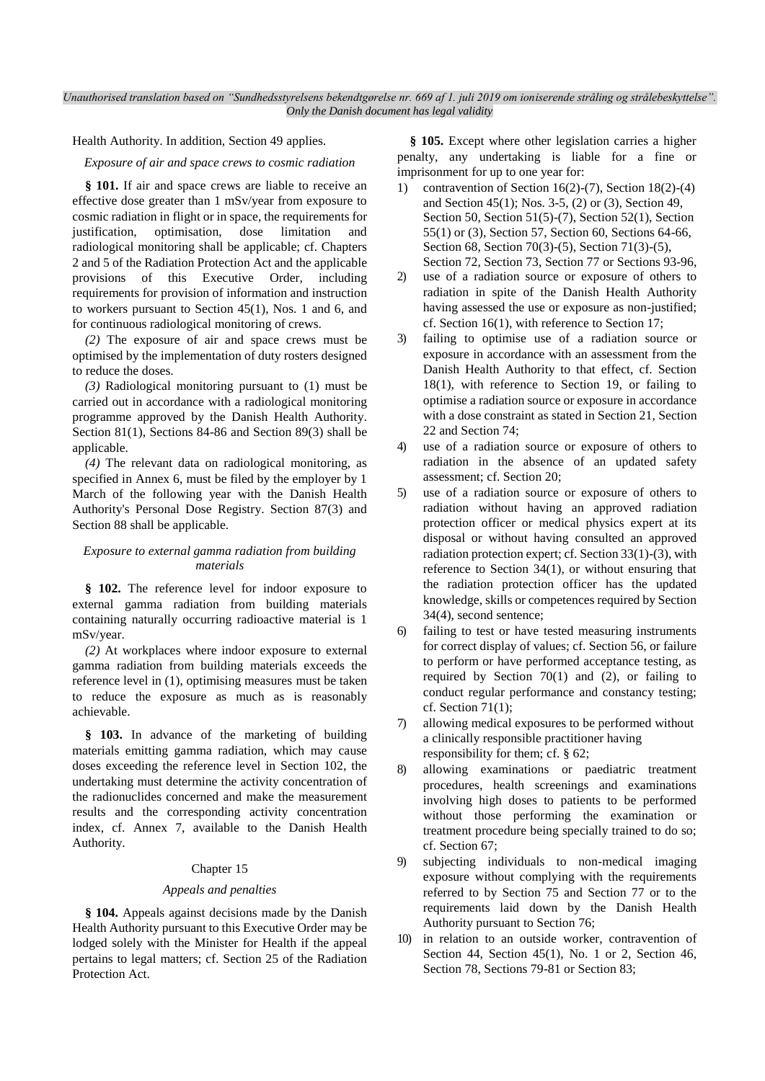Health Authority. In addition, Section 49 applies.

*Exposure of air and space crews to cosmic radiation*

**§ 101.** If air and space crews are liable to receive an effective dose greater than 1 mSv/year from exposure to cosmic radiation in flight or in space, the requirements for justification, optimisation, dose limitation and radiological monitoring shall be applicable; cf. Chapters 2 and 5 of the Radiation Protection Act and the applicable provisions of this Executive Order, including requirements for provision of information and instruction to workers pursuant to Section 45(1), Nos. 1 and 6, and for continuous radiological monitoring of crews.

*(2)* The exposure of air and space crews must be optimised by the implementation of duty rosters designed to reduce the doses.

*(3)* Radiological monitoring pursuant to (1) must be carried out in accordance with a radiological monitoring programme approved by the Danish Health Authority. Section 81(1), Sections 84-86 and Section 89(3) shall be applicable.

*(4)* The relevant data on radiological monitoring, as specified in Annex 6, must be filed by the employer by 1 March of the following year with the Danish Health Authority's Personal Dose Registry. Section 87(3) and Section 88 shall be applicable.

### *Exposure to external gamma radiation from building materials*

**§ 102.** The reference level for indoor exposure to external gamma radiation from building materials containing naturally occurring radioactive material is 1 mSv/year.

*(2)* At workplaces where indoor exposure to external gamma radiation from building materials exceeds the reference level in (1), optimising measures must be taken to reduce the exposure as much as is reasonably achievable.

**§ 103.** In advance of the marketing of building materials emitting gamma radiation, which may cause doses exceeding the reference level in Section 102, the undertaking must determine the activity concentration of the radionuclides concerned and make the measurement results and the corresponding activity concentration index, cf. Annex 7, available to the Danish Health Authority.

### Chapter 15

### *Appeals and penalties*

**§ 104.** Appeals against decisions made by the Danish Health Authority pursuant to this Executive Order may be lodged solely with the Minister for Health if the appeal pertains to legal matters; cf. Section 25 of the Radiation Protection Act.

**§ 105.** Except where other legislation carries a higher penalty, any undertaking is liable for a fine or imprisonment for up to one year for:

- 1) contravention of Section 16(2)-(7), Section 18(2)-(4) and Section 45(1); Nos. 3-5, (2) or (3), Section 49, Section 50, Section 51(5)-(7), Section 52(1), Section 55(1) or (3), Section 57, Section 60, Sections 64-66, Section 68, Section 70(3)-(5), Section 71(3)-(5), Section 72, Section 73, Section 77 or Sections 93-96,
- 2) use of a radiation source or exposure of others to radiation in spite of the Danish Health Authority having assessed the use or exposure as non-justified; cf. Section 16(1), with reference to Section 17;
- 3) failing to optimise use of a radiation source or exposure in accordance with an assessment from the Danish Health Authority to that effect, cf. Section 18(1), with reference to Section 19, or failing to optimise a radiation source or exposure in accordance with a dose constraint as stated in Section 21, Section 22 and Section 74;
- 4) use of a radiation source or exposure of others to radiation in the absence of an updated safety assessment; cf. Section 20;
- 5) use of a radiation source or exposure of others to radiation without having an approved radiation protection officer or medical physics expert at its disposal or without having consulted an approved radiation protection expert; cf. Section 33(1)-(3), with reference to Section 34(1), or without ensuring that the radiation protection officer has the updated knowledge, skills or competences required by Section 34(4), second sentence;
- 6) failing to test or have tested measuring instruments for correct display of values; cf. Section 56, or failure to perform or have performed acceptance testing, as required by Section  $70(1)$  and  $(2)$ , or failing to conduct regular performance and constancy testing; cf. Section 71(1);
- 7) allowing medical exposures to be performed without a clinically responsible practitioner having responsibility for them; cf. § 62;
- 8) allowing examinations or paediatric treatment procedures, health screenings and examinations involving high doses to patients to be performed without those performing the examination or treatment procedure being specially trained to do so; cf. Section 67;
- 9) subjecting individuals to non-medical imaging exposure without complying with the requirements referred to by Section 75 and Section 77 or to the requirements laid down by the Danish Health Authority pursuant to Section 76;
- 10) in relation to an outside worker, contravention of Section 44, Section 45(1), No. 1 or 2, Section 46, Section 78, Sections 79-81 or Section 83;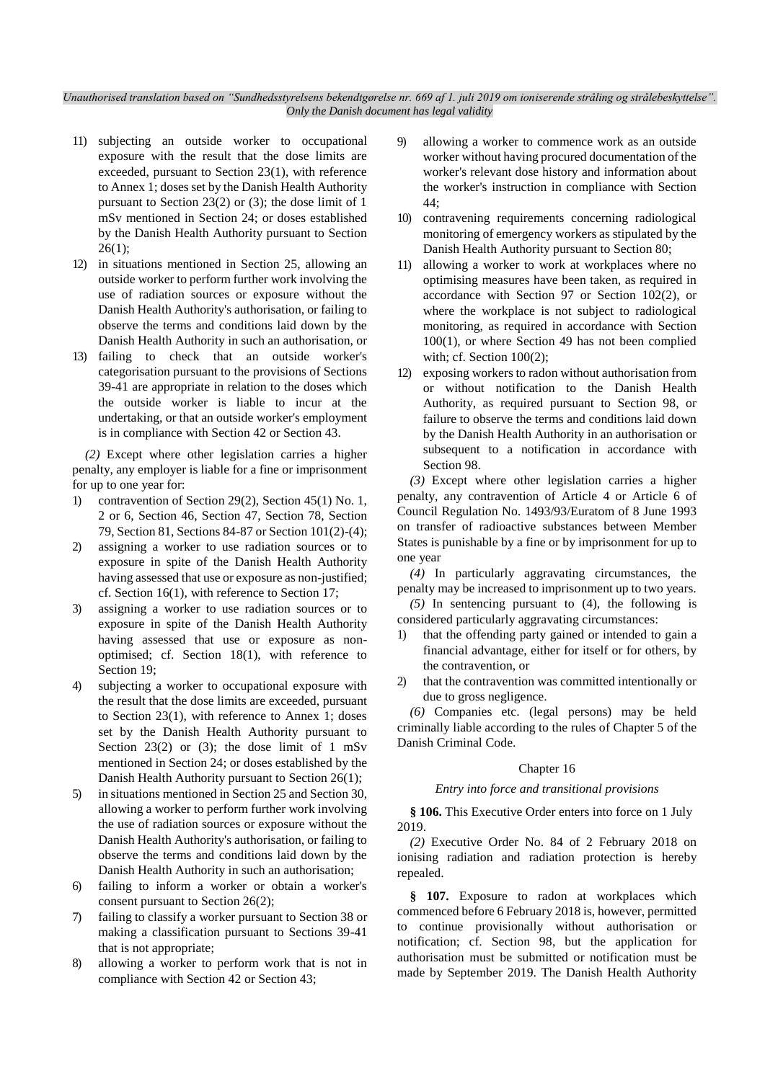- 11) subjecting an outside worker to occupational exposure with the result that the dose limits are exceeded, pursuant to Section 23(1), with reference to Annex 1; doses set by the Danish Health Authority pursuant to Section 23(2) or (3); the dose limit of 1 mSv mentioned in Section 24; or doses established by the Danish Health Authority pursuant to Section 26(1);
- 12) in situations mentioned in Section 25, allowing an outside worker to perform further work involving the use of radiation sources or exposure without the Danish Health Authority's authorisation, or failing to observe the terms and conditions laid down by the Danish Health Authority in such an authorisation, or
- 13) failing to check that an outside worker's categorisation pursuant to the provisions of Sections 39-41 are appropriate in relation to the doses which the outside worker is liable to incur at the undertaking, or that an outside worker's employment is in compliance with Section 42 or Section 43.

*(2)* Except where other legislation carries a higher penalty, any employer is liable for a fine or imprisonment for up to one year for:

- 1) contravention of Section 29(2), Section 45(1) No. 1, 2 or 6, Section 46, Section 47, Section 78, Section 79, Section 81, Sections 84-87 or Section 101(2)-(4);
- 2) assigning a worker to use radiation sources or to exposure in spite of the Danish Health Authority having assessed that use or exposure as non-justified; cf. Section 16(1), with reference to Section 17;
- 3) assigning a worker to use radiation sources or to exposure in spite of the Danish Health Authority having assessed that use or exposure as nonoptimised; cf. Section 18(1), with reference to Section 19;
- 4) subjecting a worker to occupational exposure with the result that the dose limits are exceeded, pursuant to Section 23(1), with reference to Annex 1; doses set by the Danish Health Authority pursuant to Section  $23(2)$  or  $(3)$ ; the dose limit of 1 mSv mentioned in Section 24; or doses established by the Danish Health Authority pursuant to Section 26(1);
- 5) in situations mentioned in Section 25 and Section 30, allowing a worker to perform further work involving the use of radiation sources or exposure without the Danish Health Authority's authorisation, or failing to observe the terms and conditions laid down by the Danish Health Authority in such an authorisation;
- 6) failing to inform a worker or obtain a worker's consent pursuant to Section 26(2);
- 7) failing to classify a worker pursuant to Section 38 or making a classification pursuant to Sections 39-41 that is not appropriate;
- 8) allowing a worker to perform work that is not in compliance with Section 42 or Section 43;
- 9) allowing a worker to commence work as an outside worker without having procured documentation of the worker's relevant dose history and information about the worker's instruction in compliance with Section 44;
- 10) contravening requirements concerning radiological monitoring of emergency workers as stipulated by the Danish Health Authority pursuant to Section 80;
- 11) allowing a worker to work at workplaces where no optimising measures have been taken, as required in accordance with Section 97 or Section 102(2), or where the workplace is not subject to radiological monitoring, as required in accordance with Section 100(1), or where Section 49 has not been complied with; cf. Section 100(2);
- 12) exposing workers to radon without authorisation from or without notification to the Danish Health Authority, as required pursuant to Section 98, or failure to observe the terms and conditions laid down by the Danish Health Authority in an authorisation or subsequent to a notification in accordance with Section 98.

*(3)* Except where other legislation carries a higher penalty, any contravention of Article 4 or Article 6 of Council Regulation No. 1493/93/Euratom of 8 June 1993 on transfer of radioactive substances between Member States is punishable by a fine or by imprisonment for up to one year

*(4)* In particularly aggravating circumstances, the penalty may be increased to imprisonment up to two years.

*(5)* In sentencing pursuant to (4), the following is considered particularly aggravating circumstances:

- 1) that the offending party gained or intended to gain a financial advantage, either for itself or for others, by the contravention, or
- 2) that the contravention was committed intentionally or due to gross negligence.

*(6)* Companies etc. (legal persons) may be held criminally liable according to the rules of Chapter 5 of the Danish Criminal Code.

### Chapter 16

#### *Entry into force and transitional provisions*

**§ 106.** This Executive Order enters into force on 1 July 2019.

*(2)* Executive Order No. 84 of 2 February 2018 on ionising radiation and radiation protection is hereby repealed.

**§ 107.** Exposure to radon at workplaces which commenced before 6 February 2018 is, however, permitted to continue provisionally without authorisation or notification; cf. Section 98, but the application for authorisation must be submitted or notification must be made by September 2019. The Danish Health Authority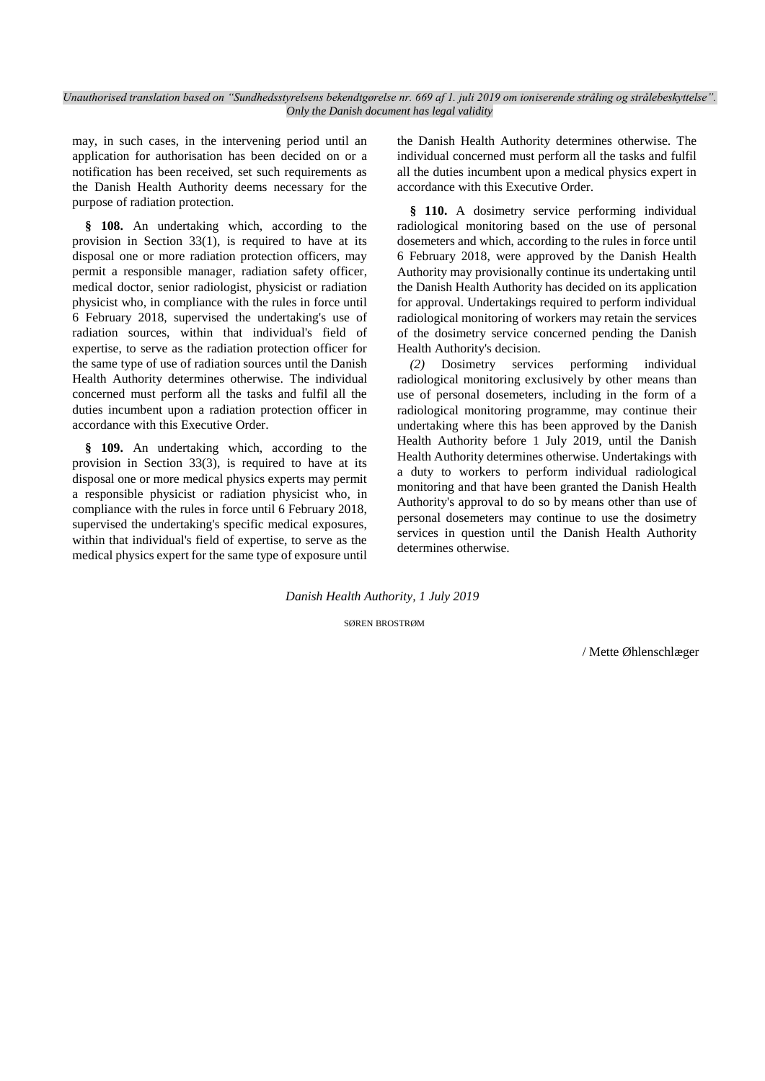may, in such cases, in the intervening period until an application for authorisation has been decided on or a notification has been received, set such requirements as the Danish Health Authority deems necessary for the purpose of radiation protection.

**§ 108.** An undertaking which, according to the provision in Section 33(1), is required to have at its disposal one or more radiation protection officers, may permit a responsible manager, radiation safety officer, medical doctor, senior radiologist, physicist or radiation physicist who, in compliance with the rules in force until 6 February 2018, supervised the undertaking's use of radiation sources, within that individual's field of expertise, to serve as the radiation protection officer for the same type of use of radiation sources until the Danish Health Authority determines otherwise. The individual concerned must perform all the tasks and fulfil all the duties incumbent upon a radiation protection officer in accordance with this Executive Order.

**§ 109.** An undertaking which, according to the provision in Section 33(3), is required to have at its disposal one or more medical physics experts may permit a responsible physicist or radiation physicist who, in compliance with the rules in force until 6 February 2018, supervised the undertaking's specific medical exposures, within that individual's field of expertise, to serve as the medical physics expert for the same type of exposure until the Danish Health Authority determines otherwise. The individual concerned must perform all the tasks and fulfil all the duties incumbent upon a medical physics expert in accordance with this Executive Order.

**§ 110.** A dosimetry service performing individual radiological monitoring based on the use of personal dosemeters and which, according to the rules in force until 6 February 2018, were approved by the Danish Health Authority may provisionally continue its undertaking until the Danish Health Authority has decided on its application for approval. Undertakings required to perform individual radiological monitoring of workers may retain the services of the dosimetry service concerned pending the Danish Health Authority's decision.

*(2)* Dosimetry services performing individual radiological monitoring exclusively by other means than use of personal dosemeters, including in the form of a radiological monitoring programme, may continue their undertaking where this has been approved by the Danish Health Authority before 1 July 2019, until the Danish Health Authority determines otherwise. Undertakings with a duty to workers to perform individual radiological monitoring and that have been granted the Danish Health Authority's approval to do so by means other than use of personal dosemeters may continue to use the dosimetry services in question until the Danish Health Authority determines otherwise.

### *Danish Health Authority, 1 July 2019*

SØREN BROSTRØM

/ Mette Øhlenschlæger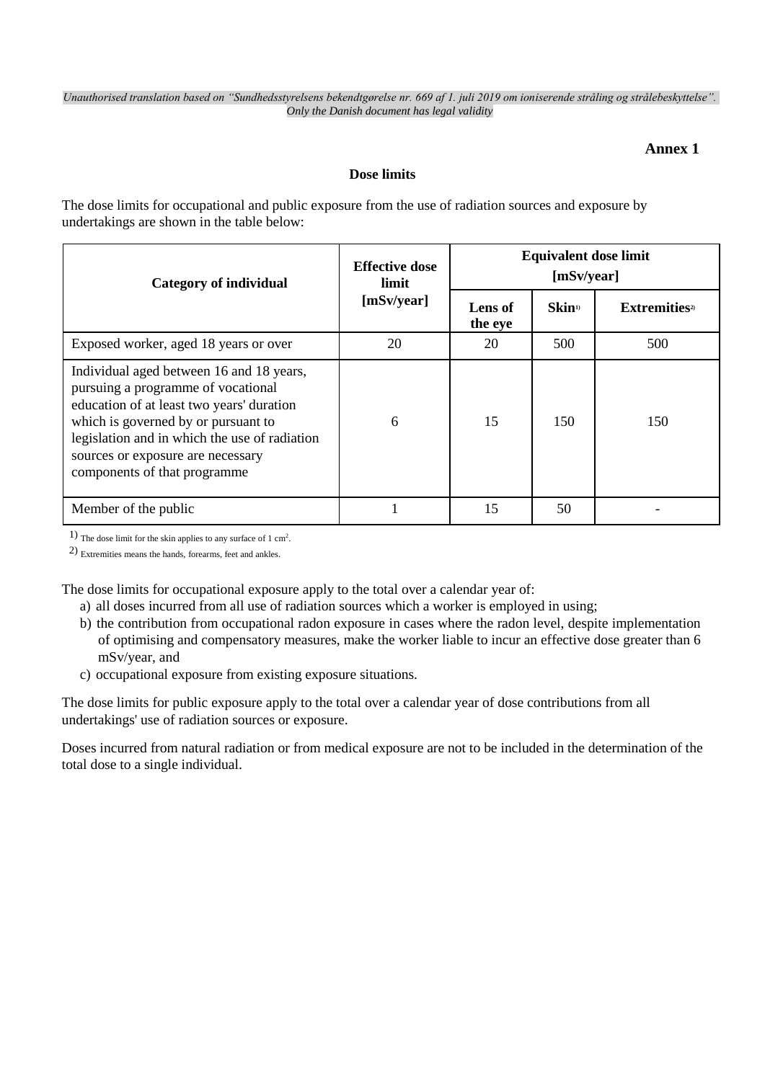## **Annex 1**

## **Dose limits**

The dose limits for occupational and public exposure from the use of radiation sources and exposure by undertakings are shown in the table below:

| Category of individual                                                                                                                                                                                                                                                                   | <b>Effective dose</b><br>limit<br>[mSv/year] | <b>Equivalent dose limit</b><br>[mSv/year] |                           |                                  |
|------------------------------------------------------------------------------------------------------------------------------------------------------------------------------------------------------------------------------------------------------------------------------------------|----------------------------------------------|--------------------------------------------|---------------------------|----------------------------------|
|                                                                                                                                                                                                                                                                                          |                                              | Lens of<br>the eye                         | <b>Skin</b> <sup>1)</sup> | <b>Extremities</b> <sup>2)</sup> |
| Exposed worker, aged 18 years or over                                                                                                                                                                                                                                                    | 20                                           | 20                                         | 500                       | 500                              |
| Individual aged between 16 and 18 years,<br>pursuing a programme of vocational<br>education of at least two years' duration<br>which is governed by or pursuant to<br>legislation and in which the use of radiation<br>sources or exposure are necessary<br>components of that programme | 6                                            | 15                                         | 150                       | 150                              |
| Member of the public                                                                                                                                                                                                                                                                     |                                              | 15                                         | 50                        |                                  |

1) The dose limit for the skin applies to any surface of 1 cm<sup>2</sup> .

2) Extremities means the hands, forearms, feet and ankles.

The dose limits for occupational exposure apply to the total over a calendar year of:

- a) all doses incurred from all use of radiation sources which a worker is employed in using;
- b) the contribution from occupational radon exposure in cases where the radon level, despite implementation of optimising and compensatory measures, make the worker liable to incur an effective dose greater than 6 mSv/year, and
- c) occupational exposure from existing exposure situations.

The dose limits for public exposure apply to the total over a calendar year of dose contributions from all undertakings' use of radiation sources or exposure.

Doses incurred from natural radiation or from medical exposure are not to be included in the determination of the total dose to a single individual.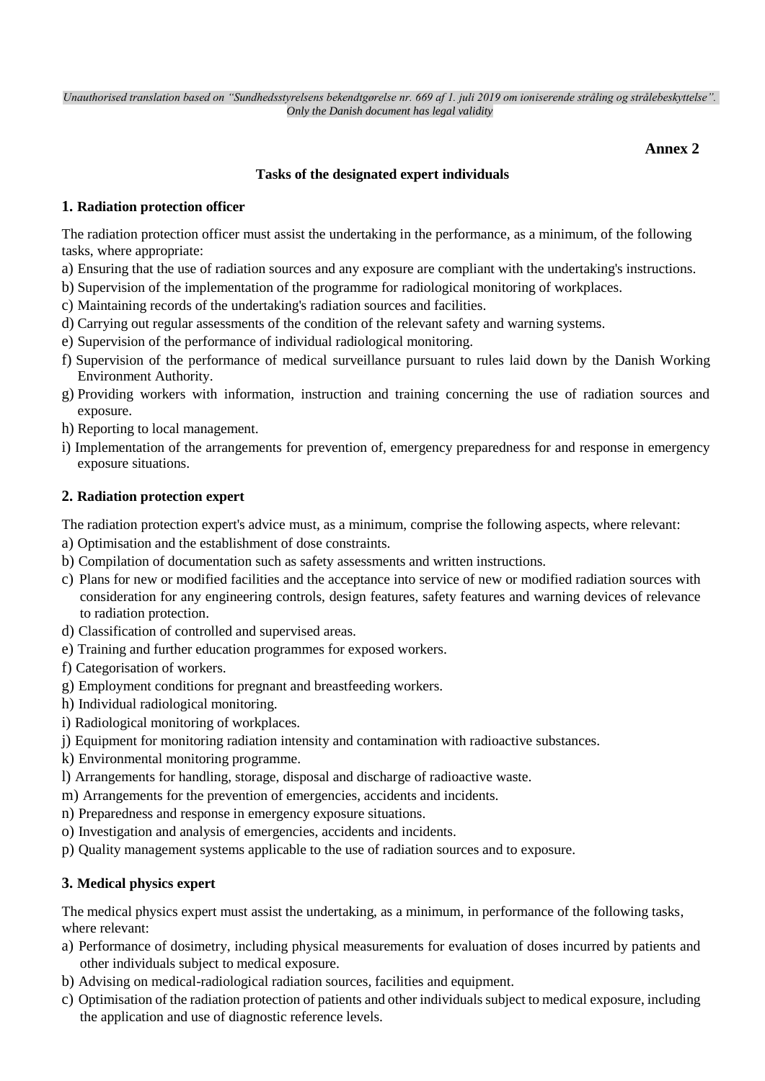## **Annex 2**

## **Tasks of the designated expert individuals**

## **1. Radiation protection officer**

The radiation protection officer must assist the undertaking in the performance, as a minimum, of the following tasks, where appropriate:

- a) Ensuring that the use of radiation sources and any exposure are compliant with the undertaking's instructions.
- b) Supervision of the implementation of the programme for radiological monitoring of workplaces.
- c) Maintaining records of the undertaking's radiation sources and facilities.
- d) Carrying out regular assessments of the condition of the relevant safety and warning systems.
- e) Supervision of the performance of individual radiological monitoring.
- f) Supervision of the performance of medical surveillance pursuant to rules laid down by the Danish Working Environment Authority.
- g) Providing workers with information, instruction and training concerning the use of radiation sources and exposure.
- h) Reporting to local management.
- i) Implementation of the arrangements for prevention of, emergency preparedness for and response in emergency exposure situations.

## **2. Radiation protection expert**

The radiation protection expert's advice must, as a minimum, comprise the following aspects, where relevant:

- a) Optimisation and the establishment of dose constraints.
- b) Compilation of documentation such as safety assessments and written instructions.
- c) Plans for new or modified facilities and the acceptance into service of new or modified radiation sources with consideration for any engineering controls, design features, safety features and warning devices of relevance to radiation protection.
- d) Classification of controlled and supervised areas.
- e) Training and further education programmes for exposed workers.
- f) Categorisation of workers.
- g) Employment conditions for pregnant and breastfeeding workers.
- h) Individual radiological monitoring.
- i) Radiological monitoring of workplaces.
- j) Equipment for monitoring radiation intensity and contamination with radioactive substances.
- k) Environmental monitoring programme.
- l) Arrangements for handling, storage, disposal and discharge of radioactive waste.
- m) Arrangements for the prevention of emergencies, accidents and incidents.
- n) Preparedness and response in emergency exposure situations.
- o) Investigation and analysis of emergencies, accidents and incidents.
- p) Quality management systems applicable to the use of radiation sources and to exposure.

## **3. Medical physics expert**

The medical physics expert must assist the undertaking, as a minimum, in performance of the following tasks, where relevant:

- a) Performance of dosimetry, including physical measurements for evaluation of doses incurred by patients and other individuals subject to medical exposure.
- b) Advising on medical-radiological radiation sources, facilities and equipment.
- c) Optimisation of the radiation protection of patients and other individuals subject to medical exposure, including the application and use of diagnostic reference levels.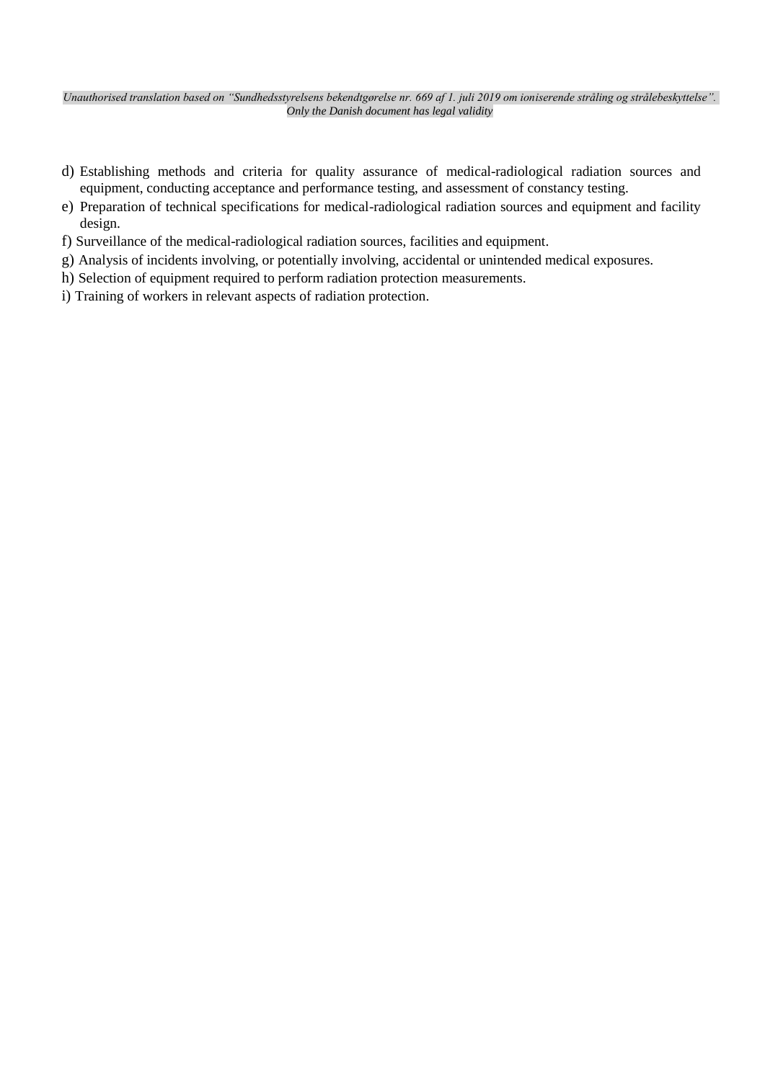- d) Establishing methods and criteria for quality assurance of medical-radiological radiation sources and equipment, conducting acceptance and performance testing, and assessment of constancy testing.
- e) Preparation of technical specifications for medical-radiological radiation sources and equipment and facility design.
- f) Surveillance of the medical-radiological radiation sources, facilities and equipment.
- g) Analysis of incidents involving, or potentially involving, accidental or unintended medical exposures.
- h) Selection of equipment required to perform radiation protection measurements.
- i) Training of workers in relevant aspects of radiation protection.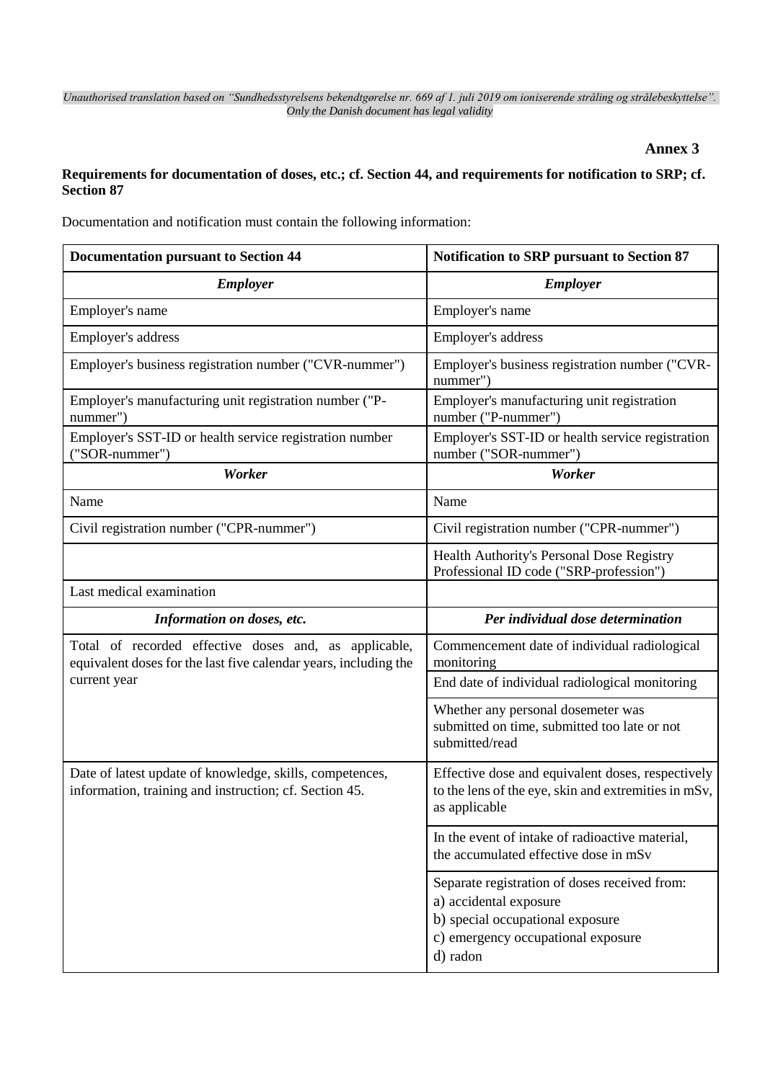**Annex 3**

## **Requirements for documentation of doses, etc.; cf. Section 44, and requirements for notification to SRP; cf. Section 87**

Documentation and notification must contain the following information:

| <b>Documentation pursuant to Section 44</b>                                                                               | Notification to SRP pursuant to Section 87                                                                                 |
|---------------------------------------------------------------------------------------------------------------------------|----------------------------------------------------------------------------------------------------------------------------|
| <b>Employer</b>                                                                                                           | <b>Employer</b>                                                                                                            |
| Employer's name                                                                                                           | Employer's name                                                                                                            |
| Employer's address                                                                                                        | Employer's address                                                                                                         |
| Employer's business registration number ("CVR-nummer")                                                                    | Employer's business registration number ("CVR-<br>nummer")                                                                 |
| Employer's manufacturing unit registration number ("P-<br>nummer")                                                        | Employer's manufacturing unit registration<br>number ("P-nummer")                                                          |
| Employer's SST-ID or health service registration number<br>("SOR-nummer")                                                 | Employer's SST-ID or health service registration<br>number ("SOR-nummer")                                                  |
| Worker                                                                                                                    | Worker                                                                                                                     |
| Name                                                                                                                      | Name                                                                                                                       |
| Civil registration number ("CPR-nummer")                                                                                  | Civil registration number ("CPR-nummer")                                                                                   |
|                                                                                                                           | Health Authority's Personal Dose Registry<br>Professional ID code ("SRP-profession")                                       |
| Last medical examination                                                                                                  |                                                                                                                            |
|                                                                                                                           |                                                                                                                            |
| Information on doses, etc.                                                                                                | Per individual dose determination                                                                                          |
| Total of recorded effective doses and, as applicable,<br>equivalent doses for the last five calendar years, including the | Commencement date of individual radiological<br>monitoring                                                                 |
| current year                                                                                                              | End date of individual radiological monitoring                                                                             |
|                                                                                                                           | Whether any personal dosemeter was<br>submitted on time, submitted too late or not<br>submitted/read                       |
| Date of latest update of knowledge, skills, competences,<br>information, training and instruction; cf. Section 45.        | Effective dose and equivalent doses, respectively<br>to the lens of the eye, skin and extremities in mSv,<br>as applicable |
|                                                                                                                           | In the event of intake of radioactive material,<br>the accumulated effective dose in mSv                                   |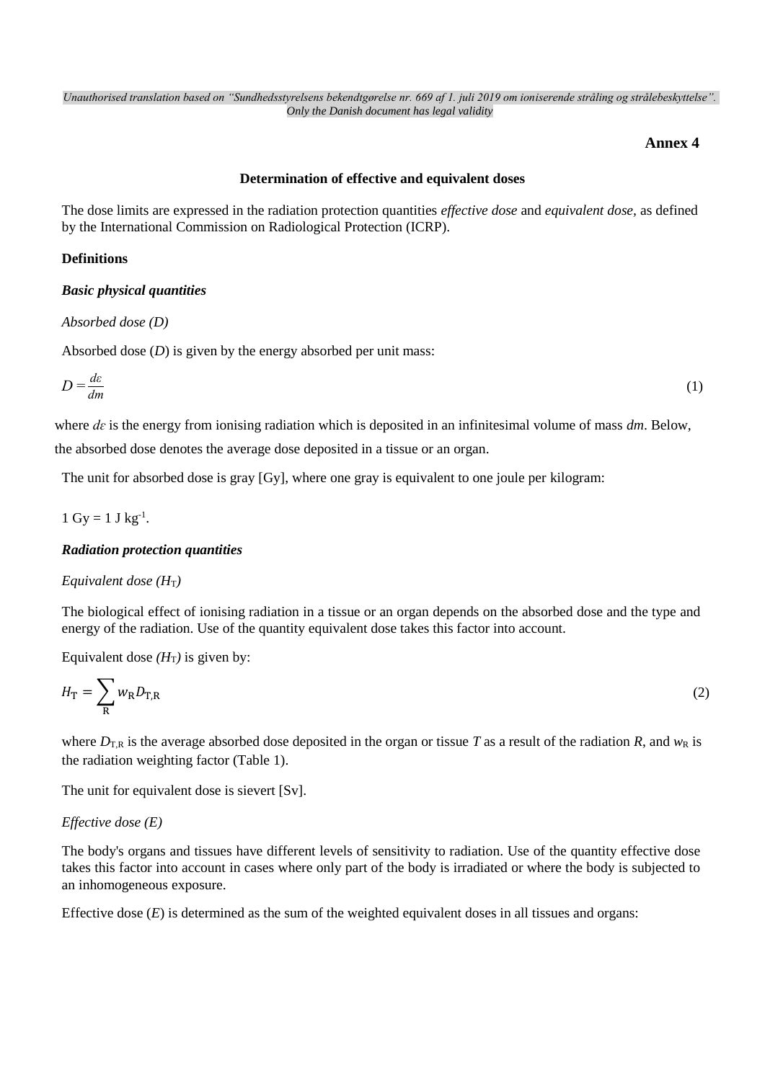## **Annex 4**

### **Determination of effective and equivalent doses**

The dose limits are expressed in the radiation protection quantities *effective dose* and *equivalent dose,* as defined by the International Commission on Radiological Protection (ICRP).

## **Definitions**

## *Basic physical quantities*

### *Absorbed dose (D)*

Absorbed dose (*D*) is given by the energy absorbed per unit mass:

$$
D = \frac{d\varepsilon}{dm} \tag{1}
$$

where *de* is the energy from ionising radiation which is deposited in an infinitesimal volume of mass *dm*. Below, the absorbed dose denotes the average dose deposited in a tissue or an organ.

The unit for absorbed dose is gray [Gy], where one gray is equivalent to one joule per kilogram:

$$
1\,\, Gy = 1\,\, J\,\, kg^{-1}.
$$

### *Radiation protection quantities*

### *Equivalent dose* ( $H_T$ )

The biological effect of ionising radiation in a tissue or an organ depends on the absorbed dose and the type and energy of the radiation. Use of the quantity equivalent dose takes this factor into account.

Equivalent dose  $(H_T)$  is given by:

$$
H_{\rm T} = \sum_{\rm R} w_{\rm R} D_{\rm T,R} \tag{2}
$$

where  $D_{T,R}$  is the average absorbed dose deposited in the organ or tissue *T* as a result of the radiation *R*, and  $w_R$  is the radiation weighting factor (Table 1).

The unit for equivalent dose is sievert [Sv].

## *Effective dose (E)*

The body's organs and tissues have different levels of sensitivity to radiation. Use of the quantity effective dose takes this factor into account in cases where only part of the body is irradiated or where the body is subjected to an inhomogeneous exposure.

Effective dose (*E*) is determined as the sum of the weighted equivalent doses in all tissues and organs: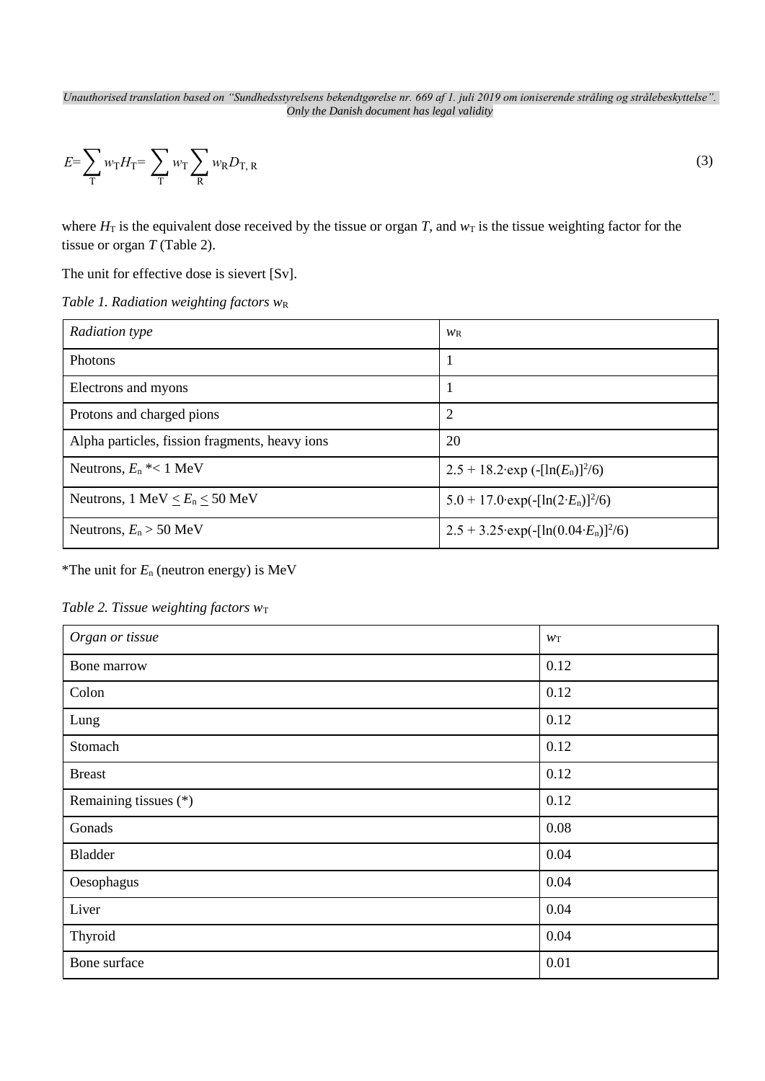$$
E = \sum_{\mathbf{T}} w_{\mathbf{T}} H_{\mathbf{T}} = \sum_{\mathbf{T}} w_{\mathbf{T}} \sum_{\mathbf{R}} w_{\mathbf{R}} D_{\mathbf{T}, \mathbf{R}} \tag{3}
$$

where  $H_T$  is the equivalent dose received by the tissue or organ *T*, and  $w_T$  is the tissue weighting factor for the tissue or organ *T* (Table 2).

The unit for effective dose is sievert [Sv].

*Table 1. Radiation weighting factors w*<sup>R</sup>

| Radiation type                                   | $W_{R}$                                                   |
|--------------------------------------------------|-----------------------------------------------------------|
| Photons                                          |                                                           |
| Electrons and myons                              |                                                           |
| Protons and charged pions                        | 2                                                         |
| Alpha particles, fission fragments, heavy ions   | 20                                                        |
| Neutrons, $E_n$ <sup>*</sup> < 1 MeV             | $2.5 + 18.2$ exp $\left(-\frac{\ln(E_n)}{2}\right)^2$ (6) |
| Neutrons, $1 \text{ MeV} < E_n < 50 \text{ MeV}$ | 5.0 + 17.0 exp( $-[ln(2E_n)]^2/6$ )                       |
| Neutrons, $E_n > 50$ MeV                         | $2.5 + 3.25$ ·exp(-[ln(0.04· $E_n$ )] <sup>2</sup> /6)    |

\*The unit for *E*<sup>n</sup> (neutron energy) is MeV

|  |  | Table 2. Tissue weighting factors $w_T$ |  |  |
|--|--|-----------------------------------------|--|--|
|--|--|-----------------------------------------|--|--|

| Organ or tissue       | W <sub>T</sub> |
|-----------------------|----------------|
| Bone marrow           | 0.12           |
| Colon                 | 0.12           |
| Lung                  | 0.12           |
| Stomach               | 0.12           |
| <b>Breast</b>         | 0.12           |
| Remaining tissues (*) | 0.12           |
| Gonads                | 0.08           |
| Bladder               | 0.04           |
| Oesophagus            | 0.04           |
| Liver                 | 0.04           |
| Thyroid               | 0.04           |
| Bone surface          | 0.01           |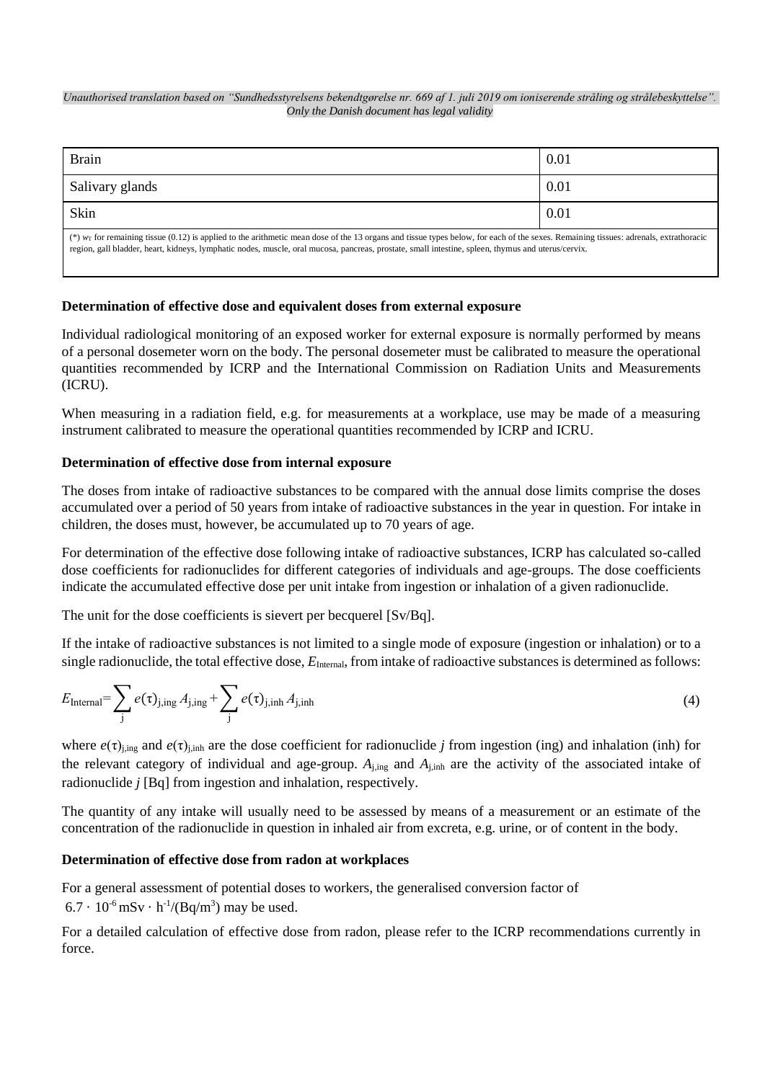| <b>Brain</b>                                                                                                                                                                                                                                                                                                                                 | 0.01 |
|----------------------------------------------------------------------------------------------------------------------------------------------------------------------------------------------------------------------------------------------------------------------------------------------------------------------------------------------|------|
| Salivary glands                                                                                                                                                                                                                                                                                                                              | 0.01 |
| Skin                                                                                                                                                                                                                                                                                                                                         | 0.01 |
| (*) $wr$ for remaining tissue (0.12) is applied to the arithmetic mean dose of the 13 organs and tissue types below, for each of the sexes. Remaining tissues: adrenals, extrathoracic<br>region, gall bladder, heart, kidneys, lymphatic nodes, muscle, oral mucosa, pancreas, prostate, small intestine, spleen, thymus and uterus/cervix. |      |

## **Determination of effective dose and equivalent doses from external exposure**

Individual radiological monitoring of an exposed worker for external exposure is normally performed by means of a personal dosemeter worn on the body. The personal dosemeter must be calibrated to measure the operational quantities recommended by ICRP and the International Commission on Radiation Units and Measurements (ICRU).

When measuring in a radiation field, e.g. for measurements at a workplace, use may be made of a measuring instrument calibrated to measure the operational quantities recommended by ICRP and ICRU.

## **Determination of effective dose from internal exposure**

The doses from intake of radioactive substances to be compared with the annual dose limits comprise the doses accumulated over a period of 50 years from intake of radioactive substances in the year in question. For intake in children, the doses must, however, be accumulated up to 70 years of age.

For determination of the effective dose following intake of radioactive substances, ICRP has calculated so-called dose coefficients for radionuclides for different categories of individuals and age-groups. The dose coefficients indicate the accumulated effective dose per unit intake from ingestion or inhalation of a given radionuclide.

The unit for the dose coefficients is sievert per becquerel [Sv/Bq].

If the intake of radioactive substances is not limited to a single mode of exposure (ingestion or inhalation) or to a single radionuclide, the total effective dose,  $E_{\text{Internal}}$ , from intake of radioactive substances is determined as follows:

$$
E_{\text{Internal}} = \sum_{j} e(\tau)_{j, \text{ing}} A_{j, \text{ing}} + \sum_{j} e(\tau)_{j, \text{inh}} A_{j, \text{inh}}
$$
\n(4)

where  $e(\tau)_{j,ing}$  and  $e(\tau)_{j,inh}$  are the dose coefficient for radionuclide *j* from ingestion (ing) and inhalation (inh) for the relevant category of individual and age-group. *A*j,ing and *A*j,inh are the activity of the associated intake of radionuclide *j* [Bq] from ingestion and inhalation, respectively.

The quantity of any intake will usually need to be assessed by means of a measurement or an estimate of the concentration of the radionuclide in question in inhaled air from excreta, e.g. urine, or of content in the body.

## **Determination of effective dose from radon at workplaces**

For a general assessment of potential doses to workers, the generalised conversion factor of  $6.7 \cdot 10^{-6}$  mSv  $\cdot$  h<sup>-1</sup>/(Bq/m<sup>3</sup>) may be used.

For a detailed calculation of effective dose from radon, please refer to the ICRP recommendations currently in force.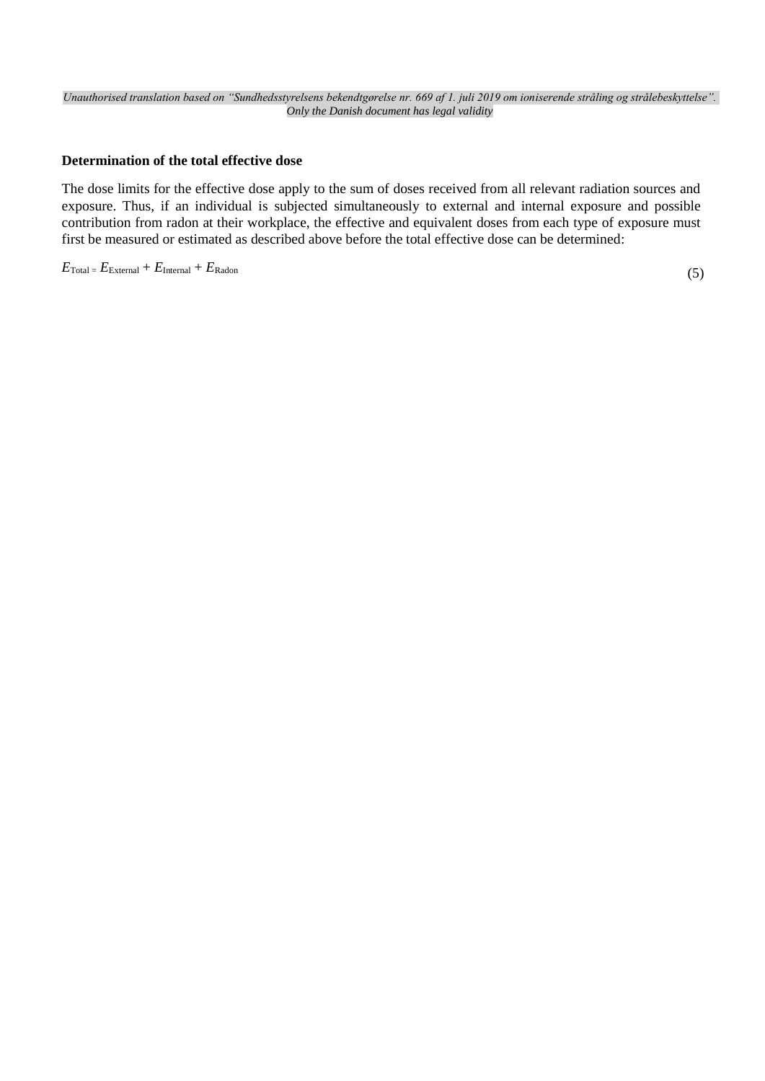## **Determination of the total effective dose**

The dose limits for the effective dose apply to the sum of doses received from all relevant radiation sources and exposure. Thus, if an individual is subjected simultaneously to external and internal exposure and possible contribution from radon at their workplace, the effective and equivalent doses from each type of exposure must first be measured or estimated as described above before the total effective dose can be determined:

# $E_{\text{Total}} = E_{\text{External}} + E_{\text{Internal}} + E_{\text{Radon}}$  (5)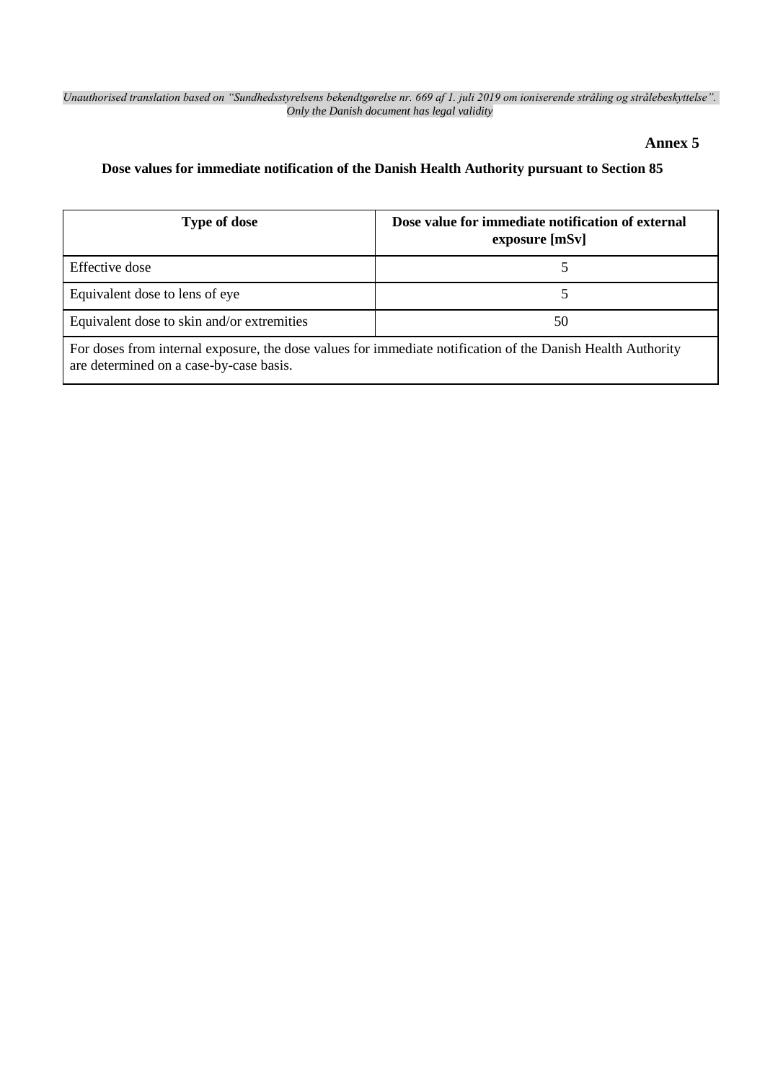## **Annex 5**

# **Dose values for immediate notification of the Danish Health Authority pursuant to Section 85**

| <b>Type of dose</b>                                                                                                                                    | Dose value for immediate notification of external<br>exposure [mSv] |  |
|--------------------------------------------------------------------------------------------------------------------------------------------------------|---------------------------------------------------------------------|--|
| Effective dose                                                                                                                                         |                                                                     |  |
| Equivalent dose to lens of eye                                                                                                                         |                                                                     |  |
| Equivalent dose to skin and/or extremities                                                                                                             | 50                                                                  |  |
| For doses from internal exposure, the dose values for immediate notification of the Danish Health Authority<br>are determined on a case-by-case basis. |                                                                     |  |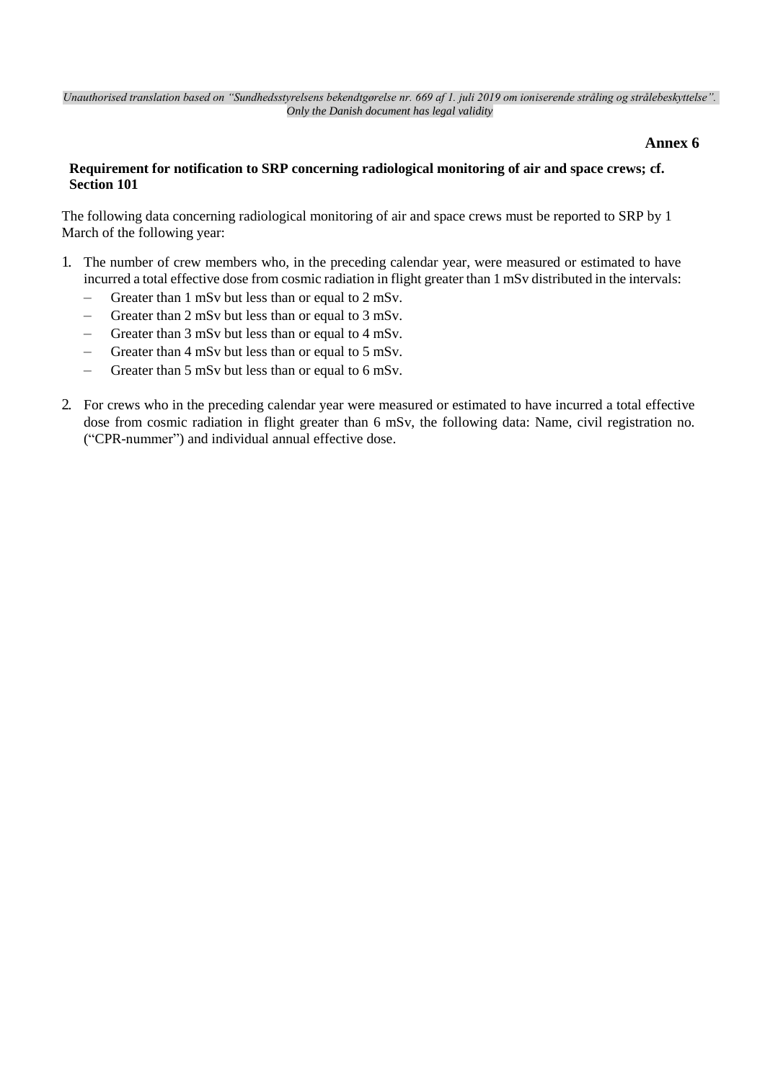## **Annex 6**

## **Requirement for notification to SRP concerning radiological monitoring of air and space crews; cf. Section 101**

The following data concerning radiological monitoring of air and space crews must be reported to SRP by 1 March of the following year:

- 1. The number of crew members who, in the preceding calendar year, were measured or estimated to have incurred a total effective dose from cosmic radiation in flight greater than 1 mSv distributed in the intervals:
	- Greater than 1 mSv but less than or equal to 2 mSv.
	- Greater than 2 mSv but less than or equal to 3 mSv.
	- Greater than 3 mSv but less than or equal to 4 mSv.
	- Greater than 4 mSv but less than or equal to 5 mSv.
	- Greater than 5 mSv but less than or equal to 6 mSv.
- 2. For crews who in the preceding calendar year were measured or estimated to have incurred a total effective dose from cosmic radiation in flight greater than 6 mSv, the following data: Name, civil registration no. ("CPR-nummer") and individual annual effective dose.